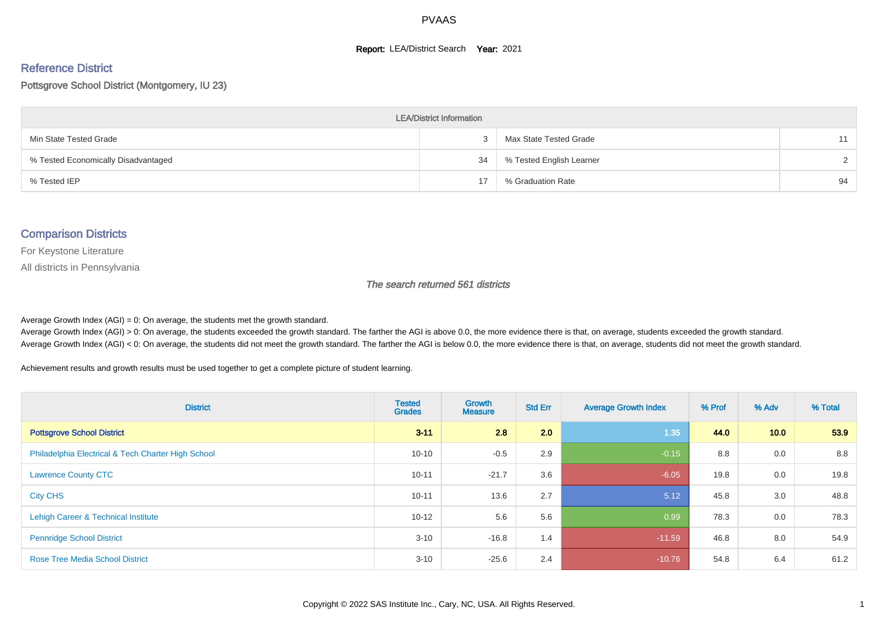#### **Report: LEA/District Search Year: 2021**

# Reference District

#### Pottsgrove School District (Montgomery, IU 23)

| <b>LEA/District Information</b>     |    |                          |    |  |  |  |  |  |  |  |
|-------------------------------------|----|--------------------------|----|--|--|--|--|--|--|--|
| Min State Tested Grade              |    | Max State Tested Grade   | 11 |  |  |  |  |  |  |  |
| % Tested Economically Disadvantaged | 34 | % Tested English Learner |    |  |  |  |  |  |  |  |
| % Tested IEP                        |    | % Graduation Rate        | 94 |  |  |  |  |  |  |  |

#### Comparison Districts

For Keystone Literature

All districts in Pennsylvania

The search returned 561 districts

Average Growth Index  $(AGI) = 0$ : On average, the students met the growth standard.

Average Growth Index (AGI) > 0: On average, the students exceeded the growth standard. The farther the AGI is above 0.0, the more evidence there is that, on average, students exceeded the growth standard. Average Growth Index (AGI) < 0: On average, the students did not meet the growth standard. The farther the AGI is below 0.0, the more evidence there is that, on average, students did not meet the growth standard.

Achievement results and growth results must be used together to get a complete picture of student learning.

| <b>District</b>                                    | <b>Tested</b><br><b>Grades</b> | Growth<br><b>Measure</b> | <b>Std Err</b> | <b>Average Growth Index</b> | % Prof | % Adv | % Total |
|----------------------------------------------------|--------------------------------|--------------------------|----------------|-----------------------------|--------|-------|---------|
| <b>Pottsgrove School District</b>                  | $3 - 11$                       | 2.8                      | 2.0            | 1.35                        | 44.0   | 10.0  | 53.9    |
| Philadelphia Electrical & Tech Charter High School | $10 - 10$                      | $-0.5$                   | 2.9            | $-0.15$                     | 8.8    | 0.0   | 8.8     |
| <b>Lawrence County CTC</b>                         | $10 - 11$                      | $-21.7$                  | 3.6            | $-6.05$                     | 19.8   | 0.0   | 19.8    |
| <b>City CHS</b>                                    | $10 - 11$                      | 13.6                     | 2.7            | 5.12                        | 45.8   | 3.0   | 48.8    |
| Lehigh Career & Technical Institute                | $10 - 12$                      | 5.6                      | 5.6            | 0.99                        | 78.3   | 0.0   | 78.3    |
| <b>Pennridge School District</b>                   | $3 - 10$                       | $-16.8$                  | 1.4            | $-11.59$                    | 46.8   | 8.0   | 54.9    |
| <b>Rose Tree Media School District</b>             | $3 - 10$                       | $-25.6$                  | 2.4            | $-10.76$                    | 54.8   | 6.4   | 61.2    |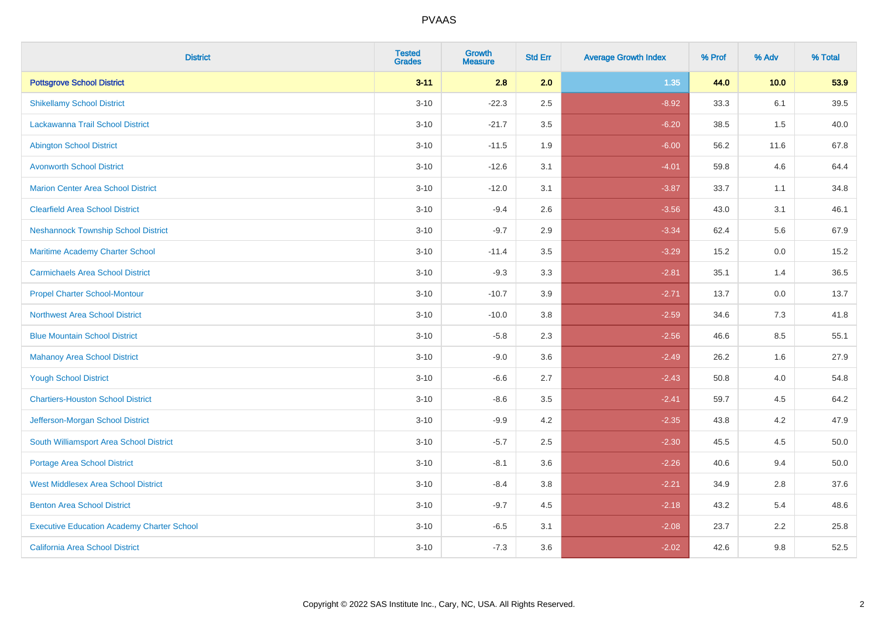| <b>District</b>                                   | <b>Tested</b><br><b>Grades</b> | <b>Growth</b><br><b>Measure</b> | <b>Std Err</b> | <b>Average Growth Index</b> | % Prof | % Adv | % Total |
|---------------------------------------------------|--------------------------------|---------------------------------|----------------|-----------------------------|--------|-------|---------|
| <b>Pottsgrove School District</b>                 | $3 - 11$                       | 2.8                             | 2.0            | 1.35                        | 44.0   | 10.0  | 53.9    |
| <b>Shikellamy School District</b>                 | $3 - 10$                       | $-22.3$                         | 2.5            | $-8.92$                     | 33.3   | 6.1   | 39.5    |
| <b>Lackawanna Trail School District</b>           | $3 - 10$                       | $-21.7$                         | 3.5            | $-6.20$                     | 38.5   | 1.5   | 40.0    |
| <b>Abington School District</b>                   | $3 - 10$                       | $-11.5$                         | 1.9            | $-6.00$                     | 56.2   | 11.6  | 67.8    |
| <b>Avonworth School District</b>                  | $3 - 10$                       | $-12.6$                         | 3.1            | $-4.01$                     | 59.8   | 4.6   | 64.4    |
| <b>Marion Center Area School District</b>         | $3 - 10$                       | $-12.0$                         | 3.1            | $-3.87$                     | 33.7   | 1.1   | 34.8    |
| <b>Clearfield Area School District</b>            | $3 - 10$                       | $-9.4$                          | 2.6            | $-3.56$                     | 43.0   | 3.1   | 46.1    |
| <b>Neshannock Township School District</b>        | $3 - 10$                       | $-9.7$                          | 2.9            | $-3.34$                     | 62.4   | 5.6   | 67.9    |
| Maritime Academy Charter School                   | $3 - 10$                       | $-11.4$                         | 3.5            | $-3.29$                     | 15.2   | 0.0   | 15.2    |
| <b>Carmichaels Area School District</b>           | $3 - 10$                       | $-9.3$                          | 3.3            | $-2.81$                     | 35.1   | 1.4   | 36.5    |
| <b>Propel Charter School-Montour</b>              | $3 - 10$                       | $-10.7$                         | 3.9            | $-2.71$                     | 13.7   | 0.0   | 13.7    |
| <b>Northwest Area School District</b>             | $3 - 10$                       | $-10.0$                         | 3.8            | $-2.59$                     | 34.6   | 7.3   | 41.8    |
| <b>Blue Mountain School District</b>              | $3 - 10$                       | $-5.8$                          | 2.3            | $-2.56$                     | 46.6   | 8.5   | 55.1    |
| <b>Mahanoy Area School District</b>               | $3 - 10$                       | $-9.0$                          | 3.6            | $-2.49$                     | 26.2   | 1.6   | 27.9    |
| <b>Yough School District</b>                      | $3 - 10$                       | $-6.6$                          | 2.7            | $-2.43$                     | 50.8   | 4.0   | 54.8    |
| <b>Chartiers-Houston School District</b>          | $3 - 10$                       | $-8.6$                          | 3.5            | $-2.41$                     | 59.7   | 4.5   | 64.2    |
| Jefferson-Morgan School District                  | $3 - 10$                       | $-9.9$                          | 4.2            | $-2.35$                     | 43.8   | 4.2   | 47.9    |
| South Williamsport Area School District           | $3 - 10$                       | $-5.7$                          | 2.5            | $-2.30$                     | 45.5   | 4.5   | 50.0    |
| Portage Area School District                      | $3 - 10$                       | $-8.1$                          | 3.6            | $-2.26$                     | 40.6   | 9.4   | 50.0    |
| <b>West Middlesex Area School District</b>        | $3 - 10$                       | $-8.4$                          | 3.8            | $-2.21$                     | 34.9   | 2.8   | 37.6    |
| <b>Benton Area School District</b>                | $3 - 10$                       | $-9.7$                          | 4.5            | $-2.18$                     | 43.2   | 5.4   | 48.6    |
| <b>Executive Education Academy Charter School</b> | $3 - 10$                       | $-6.5$                          | 3.1            | $-2.08$                     | 23.7   | 2.2   | 25.8    |
| California Area School District                   | $3 - 10$                       | $-7.3$                          | 3.6            | $-2.02$                     | 42.6   | 9.8   | 52.5    |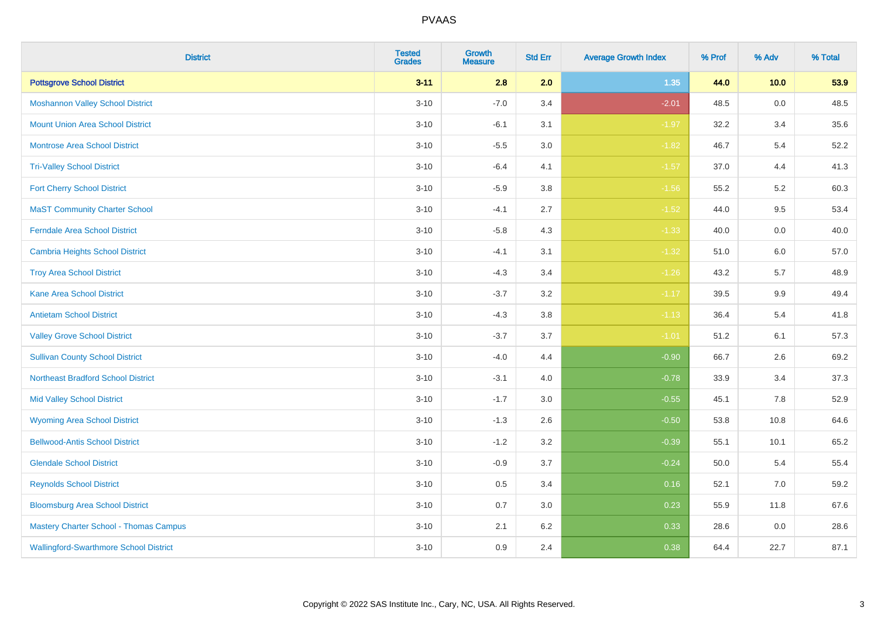| <b>District</b>                               | <b>Tested</b><br><b>Grades</b> | <b>Growth</b><br><b>Measure</b> | <b>Std Err</b> | <b>Average Growth Index</b> | % Prof | % Adv   | % Total |
|-----------------------------------------------|--------------------------------|---------------------------------|----------------|-----------------------------|--------|---------|---------|
| <b>Pottsgrove School District</b>             | $3 - 11$                       | 2.8                             | 2.0            | 1.35                        | 44.0   | 10.0    | 53.9    |
| <b>Moshannon Valley School District</b>       | $3 - 10$                       | $-7.0$                          | 3.4            | $-2.01$                     | 48.5   | 0.0     | 48.5    |
| <b>Mount Union Area School District</b>       | $3 - 10$                       | $-6.1$                          | 3.1            | $-1.97$                     | 32.2   | 3.4     | 35.6    |
| <b>Montrose Area School District</b>          | $3 - 10$                       | $-5.5$                          | 3.0            | $-1.82$                     | 46.7   | 5.4     | 52.2    |
| <b>Tri-Valley School District</b>             | $3 - 10$                       | $-6.4$                          | 4.1            | $-1.57$                     | 37.0   | 4.4     | 41.3    |
| <b>Fort Cherry School District</b>            | $3 - 10$                       | $-5.9$                          | 3.8            | $-1.56$                     | 55.2   | 5.2     | 60.3    |
| <b>MaST Community Charter School</b>          | $3 - 10$                       | $-4.1$                          | 2.7            | $-1.52$                     | 44.0   | 9.5     | 53.4    |
| <b>Ferndale Area School District</b>          | $3 - 10$                       | $-5.8$                          | 4.3            | $-1.33$                     | 40.0   | 0.0     | 40.0    |
| <b>Cambria Heights School District</b>        | $3 - 10$                       | $-4.1$                          | 3.1            | $-1.32$                     | 51.0   | 6.0     | 57.0    |
| <b>Troy Area School District</b>              | $3 - 10$                       | $-4.3$                          | 3.4            | $-1.26$                     | 43.2   | 5.7     | 48.9    |
| <b>Kane Area School District</b>              | $3 - 10$                       | $-3.7$                          | 3.2            | $-1.17$                     | 39.5   | 9.9     | 49.4    |
| <b>Antietam School District</b>               | $3 - 10$                       | $-4.3$                          | 3.8            | $-1.13$                     | 36.4   | 5.4     | 41.8    |
| <b>Valley Grove School District</b>           | $3 - 10$                       | $-3.7$                          | 3.7            | $-1.01$                     | 51.2   | 6.1     | 57.3    |
| <b>Sullivan County School District</b>        | $3 - 10$                       | $-4.0$                          | 4.4            | $-0.90$                     | 66.7   | 2.6     | 69.2    |
| <b>Northeast Bradford School District</b>     | $3 - 10$                       | $-3.1$                          | 4.0            | $-0.78$                     | 33.9   | 3.4     | 37.3    |
| <b>Mid Valley School District</b>             | $3 - 10$                       | $-1.7$                          | 3.0            | $-0.55$                     | 45.1   | $7.8\,$ | 52.9    |
| <b>Wyoming Area School District</b>           | $3 - 10$                       | $-1.3$                          | 2.6            | $-0.50$                     | 53.8   | 10.8    | 64.6    |
| <b>Bellwood-Antis School District</b>         | $3 - 10$                       | $-1.2$                          | 3.2            | $-0.39$                     | 55.1   | 10.1    | 65.2    |
| <b>Glendale School District</b>               | $3 - 10$                       | $-0.9$                          | 3.7            | $-0.24$                     | 50.0   | 5.4     | 55.4    |
| <b>Reynolds School District</b>               | $3 - 10$                       | 0.5                             | 3.4            | 0.16                        | 52.1   | 7.0     | 59.2    |
| <b>Bloomsburg Area School District</b>        | $3 - 10$                       | 0.7                             | 3.0            | 0.23                        | 55.9   | 11.8    | 67.6    |
| <b>Mastery Charter School - Thomas Campus</b> | $3 - 10$                       | 2.1                             | 6.2            | 0.33                        | 28.6   | 0.0     | 28.6    |
| <b>Wallingford-Swarthmore School District</b> | $3 - 10$                       | 0.9                             | 2.4            | 0.38                        | 64.4   | 22.7    | 87.1    |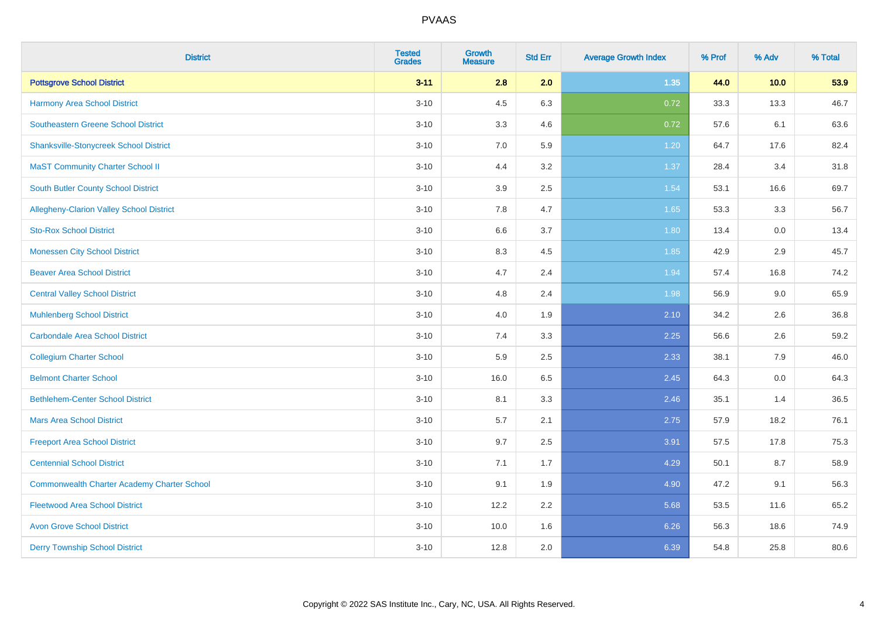| <b>District</b>                                    | <b>Tested</b><br><b>Grades</b> | <b>Growth</b><br><b>Measure</b> | <b>Std Err</b> | <b>Average Growth Index</b> | % Prof | % Adv | % Total |
|----------------------------------------------------|--------------------------------|---------------------------------|----------------|-----------------------------|--------|-------|---------|
| <b>Pottsgrove School District</b>                  | $3 - 11$                       | 2.8                             | 2.0            | 1.35                        | 44.0   | 10.0  | 53.9    |
| <b>Harmony Area School District</b>                | $3 - 10$                       | 4.5                             | 6.3            | 0.72                        | 33.3   | 13.3  | 46.7    |
| Southeastern Greene School District                | $3 - 10$                       | 3.3                             | 4.6            | 0.72                        | 57.6   | 6.1   | 63.6    |
| <b>Shanksville-Stonycreek School District</b>      | $3 - 10$                       | 7.0                             | 5.9            | 1.20                        | 64.7   | 17.6  | 82.4    |
| <b>MaST Community Charter School II</b>            | $3 - 10$                       | 4.4                             | 3.2            | 1.37                        | 28.4   | 3.4   | 31.8    |
| <b>South Butler County School District</b>         | $3 - 10$                       | 3.9                             | 2.5            | 1.54                        | 53.1   | 16.6  | 69.7    |
| Allegheny-Clarion Valley School District           | $3 - 10$                       | 7.8                             | 4.7            | 1.65                        | 53.3   | 3.3   | 56.7    |
| <b>Sto-Rox School District</b>                     | $3 - 10$                       | 6.6                             | 3.7            | 1.80                        | 13.4   | 0.0   | 13.4    |
| <b>Monessen City School District</b>               | $3 - 10$                       | 8.3                             | 4.5            | 1.85                        | 42.9   | 2.9   | 45.7    |
| <b>Beaver Area School District</b>                 | $3 - 10$                       | 4.7                             | 2.4            | 1.94                        | 57.4   | 16.8  | 74.2    |
| <b>Central Valley School District</b>              | $3 - 10$                       | 4.8                             | 2.4            | 1.98                        | 56.9   | 9.0   | 65.9    |
| <b>Muhlenberg School District</b>                  | $3 - 10$                       | 4.0                             | 1.9            | 2.10                        | 34.2   | 2.6   | 36.8    |
| <b>Carbondale Area School District</b>             | $3 - 10$                       | $7.4$                           | 3.3            | 2.25                        | 56.6   | 2.6   | 59.2    |
| <b>Collegium Charter School</b>                    | $3 - 10$                       | 5.9                             | 2.5            | 2.33                        | 38.1   | 7.9   | 46.0    |
| <b>Belmont Charter School</b>                      | $3 - 10$                       | 16.0                            | 6.5            | 2.45                        | 64.3   | 0.0   | 64.3    |
| <b>Bethlehem-Center School District</b>            | $3 - 10$                       | 8.1                             | 3.3            | 2.46                        | 35.1   | 1.4   | 36.5    |
| <b>Mars Area School District</b>                   | $3 - 10$                       | 5.7                             | 2.1            | 2.75                        | 57.9   | 18.2  | 76.1    |
| <b>Freeport Area School District</b>               | $3 - 10$                       | 9.7                             | 2.5            | 3.91                        | 57.5   | 17.8  | 75.3    |
| <b>Centennial School District</b>                  | $3 - 10$                       | 7.1                             | 1.7            | 4.29                        | 50.1   | 8.7   | 58.9    |
| <b>Commonwealth Charter Academy Charter School</b> | $3 - 10$                       | 9.1                             | 1.9            | 4.90                        | 47.2   | 9.1   | 56.3    |
| <b>Fleetwood Area School District</b>              | $3 - 10$                       | 12.2                            | 2.2            | 5.68                        | 53.5   | 11.6  | 65.2    |
| <b>Avon Grove School District</b>                  | $3 - 10$                       | 10.0                            | 1.6            | 6.26                        | 56.3   | 18.6  | 74.9    |
| <b>Derry Township School District</b>              | $3 - 10$                       | 12.8                            | 2.0            | 6.39                        | 54.8   | 25.8  | 80.6    |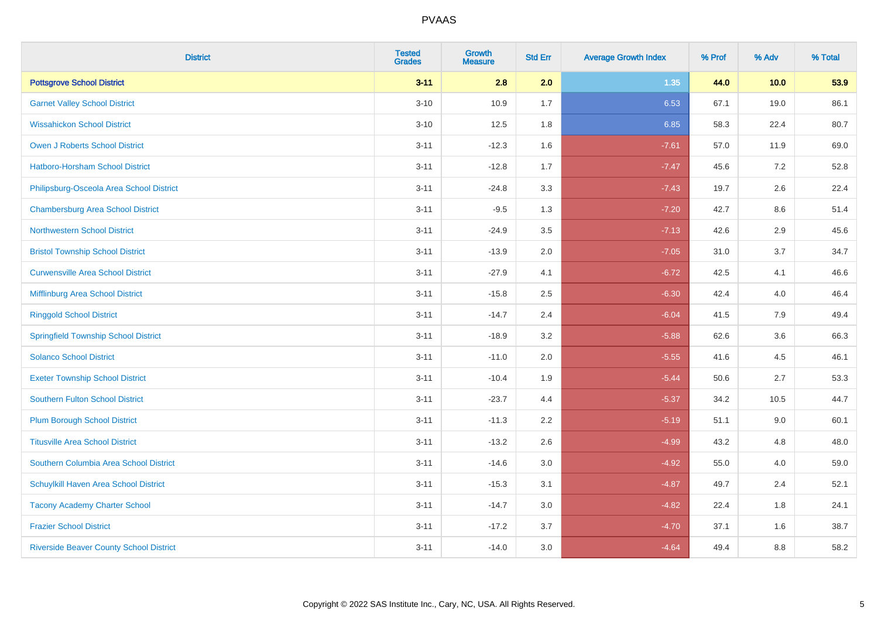| <b>District</b>                                | <b>Tested</b><br><b>Grades</b> | Growth<br><b>Measure</b> | <b>Std Err</b> | <b>Average Growth Index</b> | % Prof | % Adv   | % Total |
|------------------------------------------------|--------------------------------|--------------------------|----------------|-----------------------------|--------|---------|---------|
| <b>Pottsgrove School District</b>              | $3 - 11$                       | 2.8                      | 2.0            | 1.35                        | 44.0   | 10.0    | 53.9    |
| <b>Garnet Valley School District</b>           | $3 - 10$                       | 10.9                     | 1.7            | 6.53                        | 67.1   | 19.0    | 86.1    |
| <b>Wissahickon School District</b>             | $3 - 10$                       | 12.5                     | 1.8            | 6.85                        | 58.3   | 22.4    | 80.7    |
| Owen J Roberts School District                 | $3 - 11$                       | $-12.3$                  | 1.6            | $-7.61$                     | 57.0   | 11.9    | 69.0    |
| <b>Hatboro-Horsham School District</b>         | $3 - 11$                       | $-12.8$                  | 1.7            | $-7.47$                     | 45.6   | 7.2     | 52.8    |
| Philipsburg-Osceola Area School District       | $3 - 11$                       | $-24.8$                  | 3.3            | $-7.43$                     | 19.7   | 2.6     | 22.4    |
| <b>Chambersburg Area School District</b>       | $3 - 11$                       | $-9.5$                   | 1.3            | $-7.20$                     | 42.7   | $8.6\,$ | 51.4    |
| <b>Northwestern School District</b>            | $3 - 11$                       | $-24.9$                  | 3.5            | $-7.13$                     | 42.6   | 2.9     | 45.6    |
| <b>Bristol Township School District</b>        | $3 - 11$                       | $-13.9$                  | 2.0            | $-7.05$                     | 31.0   | 3.7     | 34.7    |
| <b>Curwensville Area School District</b>       | $3 - 11$                       | $-27.9$                  | 4.1            | $-6.72$                     | 42.5   | 4.1     | 46.6    |
| Mifflinburg Area School District               | $3 - 11$                       | $-15.8$                  | 2.5            | $-6.30$                     | 42.4   | 4.0     | 46.4    |
| <b>Ringgold School District</b>                | $3 - 11$                       | $-14.7$                  | 2.4            | $-6.04$                     | 41.5   | 7.9     | 49.4    |
| <b>Springfield Township School District</b>    | $3 - 11$                       | $-18.9$                  | 3.2            | $-5.88$                     | 62.6   | 3.6     | 66.3    |
| <b>Solanco School District</b>                 | $3 - 11$                       | $-11.0$                  | 2.0            | $-5.55$                     | 41.6   | 4.5     | 46.1    |
| <b>Exeter Township School District</b>         | $3 - 11$                       | $-10.4$                  | 1.9            | $-5.44$                     | 50.6   | 2.7     | 53.3    |
| <b>Southern Fulton School District</b>         | $3 - 11$                       | $-23.7$                  | 4.4            | $-5.37$                     | 34.2   | 10.5    | 44.7    |
| <b>Plum Borough School District</b>            | $3 - 11$                       | $-11.3$                  | 2.2            | $-5.19$                     | 51.1   | 9.0     | 60.1    |
| <b>Titusville Area School District</b>         | $3 - 11$                       | $-13.2$                  | 2.6            | $-4.99$                     | 43.2   | 4.8     | 48.0    |
| Southern Columbia Area School District         | $3 - 11$                       | $-14.6$                  | 3.0            | $-4.92$                     | 55.0   | 4.0     | 59.0    |
| Schuylkill Haven Area School District          | $3 - 11$                       | $-15.3$                  | 3.1            | $-4.87$                     | 49.7   | 2.4     | 52.1    |
| <b>Tacony Academy Charter School</b>           | $3 - 11$                       | $-14.7$                  | 3.0            | $-4.82$                     | 22.4   | 1.8     | 24.1    |
| <b>Frazier School District</b>                 | $3 - 11$                       | $-17.2$                  | 3.7            | $-4.70$                     | 37.1   | 1.6     | 38.7    |
| <b>Riverside Beaver County School District</b> | $3 - 11$                       | $-14.0$                  | 3.0            | $-4.64$                     | 49.4   | 8.8     | 58.2    |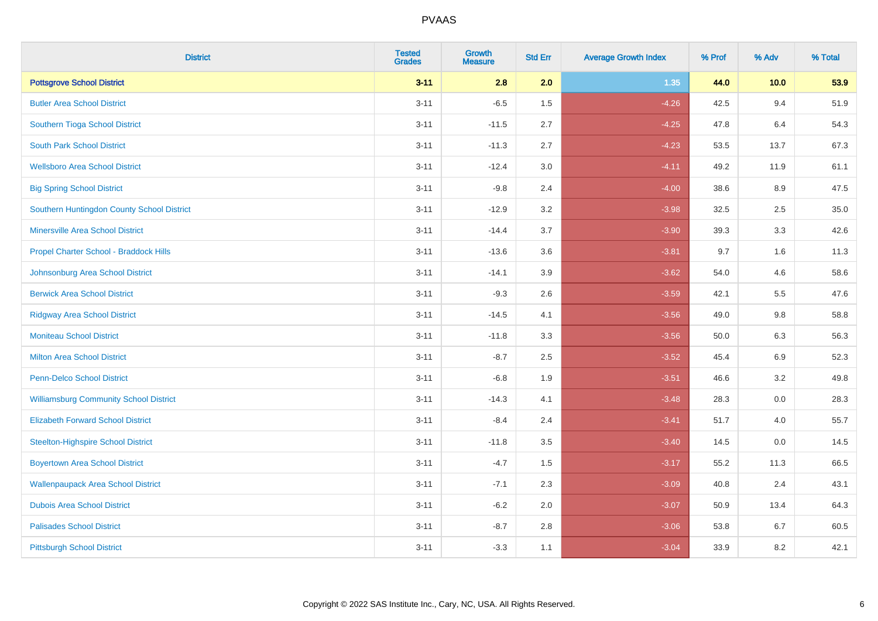| <b>District</b>                               | <b>Tested</b><br><b>Grades</b> | <b>Growth</b><br><b>Measure</b> | <b>Std Err</b> | <b>Average Growth Index</b> | % Prof | % Adv   | % Total |
|-----------------------------------------------|--------------------------------|---------------------------------|----------------|-----------------------------|--------|---------|---------|
| <b>Pottsgrove School District</b>             | $3 - 11$                       | 2.8                             | 2.0            | 1.35                        | 44.0   | 10.0    | 53.9    |
| <b>Butler Area School District</b>            | $3 - 11$                       | $-6.5$                          | 1.5            | $-4.26$                     | 42.5   | 9.4     | 51.9    |
| Southern Tioga School District                | $3 - 11$                       | $-11.5$                         | 2.7            | $-4.25$                     | 47.8   | 6.4     | 54.3    |
| <b>South Park School District</b>             | $3 - 11$                       | $-11.3$                         | 2.7            | $-4.23$                     | 53.5   | 13.7    | 67.3    |
| <b>Wellsboro Area School District</b>         | $3 - 11$                       | $-12.4$                         | 3.0            | $-4.11$                     | 49.2   | 11.9    | 61.1    |
| <b>Big Spring School District</b>             | $3 - 11$                       | $-9.8$                          | 2.4            | $-4.00$                     | 38.6   | 8.9     | 47.5    |
| Southern Huntingdon County School District    | $3 - 11$                       | $-12.9$                         | 3.2            | $-3.98$                     | 32.5   | 2.5     | 35.0    |
| <b>Minersville Area School District</b>       | $3 - 11$                       | $-14.4$                         | 3.7            | $-3.90$                     | 39.3   | 3.3     | 42.6    |
| Propel Charter School - Braddock Hills        | $3 - 11$                       | $-13.6$                         | 3.6            | $-3.81$                     | 9.7    | 1.6     | 11.3    |
| Johnsonburg Area School District              | $3 - 11$                       | $-14.1$                         | 3.9            | $-3.62$                     | 54.0   | 4.6     | 58.6    |
| <b>Berwick Area School District</b>           | $3 - 11$                       | $-9.3$                          | 2.6            | $-3.59$                     | 42.1   | 5.5     | 47.6    |
| <b>Ridgway Area School District</b>           | $3 - 11$                       | $-14.5$                         | 4.1            | $-3.56$                     | 49.0   | 9.8     | 58.8    |
| <b>Moniteau School District</b>               | $3 - 11$                       | $-11.8$                         | 3.3            | $-3.56$                     | 50.0   | $6.3\,$ | 56.3    |
| <b>Milton Area School District</b>            | $3 - 11$                       | $-8.7$                          | 2.5            | $-3.52$                     | 45.4   | 6.9     | 52.3    |
| <b>Penn-Delco School District</b>             | $3 - 11$                       | $-6.8$                          | 1.9            | $-3.51$                     | 46.6   | 3.2     | 49.8    |
| <b>Williamsburg Community School District</b> | $3 - 11$                       | $-14.3$                         | 4.1            | $-3.48$                     | 28.3   | $0.0\,$ | 28.3    |
| <b>Elizabeth Forward School District</b>      | $3 - 11$                       | $-8.4$                          | 2.4            | $-3.41$                     | 51.7   | 4.0     | 55.7    |
| <b>Steelton-Highspire School District</b>     | $3 - 11$                       | $-11.8$                         | 3.5            | $-3.40$                     | 14.5   | 0.0     | 14.5    |
| <b>Boyertown Area School District</b>         | $3 - 11$                       | $-4.7$                          | 1.5            | $-3.17$                     | 55.2   | 11.3    | 66.5    |
| <b>Wallenpaupack Area School District</b>     | $3 - 11$                       | $-7.1$                          | 2.3            | $-3.09$                     | 40.8   | 2.4     | 43.1    |
| <b>Dubois Area School District</b>            | $3 - 11$                       | $-6.2$                          | 2.0            | $-3.07$                     | 50.9   | 13.4    | 64.3    |
| <b>Palisades School District</b>              | $3 - 11$                       | $-8.7$                          | 2.8            | $-3.06$                     | 53.8   | 6.7     | 60.5    |
| <b>Pittsburgh School District</b>             | $3 - 11$                       | $-3.3$                          | 1.1            | $-3.04$                     | 33.9   | 8.2     | 42.1    |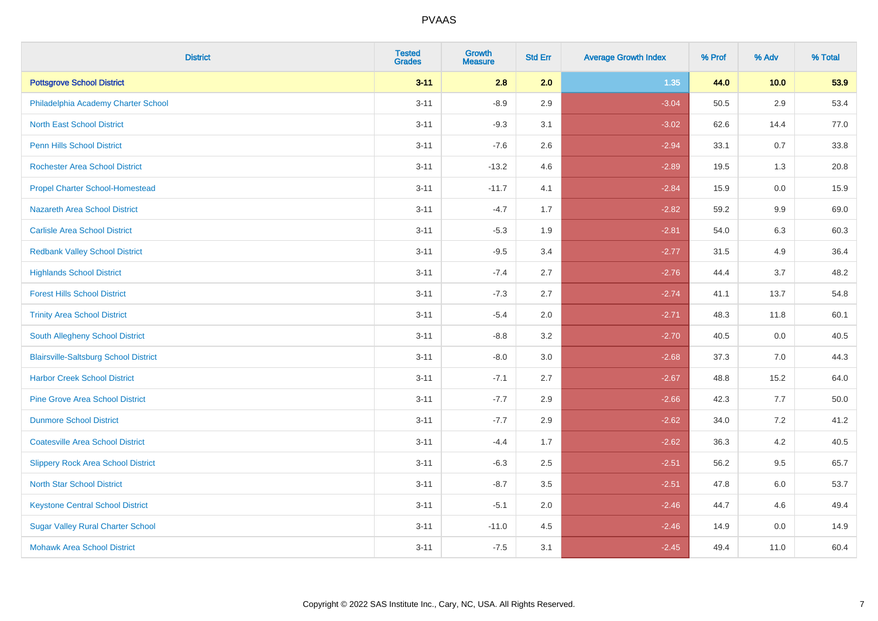| <b>District</b>                              | <b>Tested</b><br><b>Grades</b> | Growth<br><b>Measure</b> | <b>Std Err</b> | <b>Average Growth Index</b> | % Prof | % Adv   | % Total |
|----------------------------------------------|--------------------------------|--------------------------|----------------|-----------------------------|--------|---------|---------|
| <b>Pottsgrove School District</b>            | $3 - 11$                       | 2.8                      | 2.0            | 1.35                        | 44.0   | 10.0    | 53.9    |
| Philadelphia Academy Charter School          | $3 - 11$                       | $-8.9$                   | 2.9            | $-3.04$                     | 50.5   | 2.9     | 53.4    |
| <b>North East School District</b>            | $3 - 11$                       | $-9.3$                   | 3.1            | $-3.02$                     | 62.6   | 14.4    | 77.0    |
| Penn Hills School District                   | $3 - 11$                       | $-7.6$                   | 2.6            | $-2.94$                     | 33.1   | 0.7     | 33.8    |
| <b>Rochester Area School District</b>        | $3 - 11$                       | $-13.2$                  | 4.6            | $-2.89$                     | 19.5   | 1.3     | 20.8    |
| <b>Propel Charter School-Homestead</b>       | $3 - 11$                       | $-11.7$                  | 4.1            | $-2.84$                     | 15.9   | 0.0     | 15.9    |
| Nazareth Area School District                | $3 - 11$                       | $-4.7$                   | 1.7            | $-2.82$                     | 59.2   | $9.9\,$ | 69.0    |
| <b>Carlisle Area School District</b>         | $3 - 11$                       | $-5.3$                   | 1.9            | $-2.81$                     | 54.0   | 6.3     | 60.3    |
| <b>Redbank Valley School District</b>        | $3 - 11$                       | $-9.5$                   | 3.4            | $-2.77$                     | 31.5   | 4.9     | 36.4    |
| <b>Highlands School District</b>             | $3 - 11$                       | $-7.4$                   | 2.7            | $-2.76$                     | 44.4   | 3.7     | 48.2    |
| <b>Forest Hills School District</b>          | $3 - 11$                       | $-7.3$                   | 2.7            | $-2.74$                     | 41.1   | 13.7    | 54.8    |
| <b>Trinity Area School District</b>          | $3 - 11$                       | $-5.4$                   | 2.0            | $-2.71$                     | 48.3   | 11.8    | 60.1    |
| South Allegheny School District              | $3 - 11$                       | $-8.8$                   | 3.2            | $-2.70$                     | 40.5   | 0.0     | 40.5    |
| <b>Blairsville-Saltsburg School District</b> | $3 - 11$                       | $-8.0$                   | 3.0            | $-2.68$                     | 37.3   | 7.0     | 44.3    |
| <b>Harbor Creek School District</b>          | $3 - 11$                       | $-7.1$                   | 2.7            | $-2.67$                     | 48.8   | 15.2    | 64.0    |
| <b>Pine Grove Area School District</b>       | $3 - 11$                       | $-7.7$                   | 2.9            | $-2.66$                     | 42.3   | 7.7     | 50.0    |
| <b>Dunmore School District</b>               | $3 - 11$                       | $-7.7$                   | 2.9            | $-2.62$                     | 34.0   | 7.2     | 41.2    |
| <b>Coatesville Area School District</b>      | $3 - 11$                       | $-4.4$                   | 1.7            | $-2.62$                     | 36.3   | 4.2     | 40.5    |
| <b>Slippery Rock Area School District</b>    | $3 - 11$                       | $-6.3$                   | 2.5            | $-2.51$                     | 56.2   | 9.5     | 65.7    |
| <b>North Star School District</b>            | $3 - 11$                       | $-8.7$                   | 3.5            | $-2.51$                     | 47.8   | 6.0     | 53.7    |
| <b>Keystone Central School District</b>      | $3 - 11$                       | $-5.1$                   | 2.0            | $-2.46$                     | 44.7   | 4.6     | 49.4    |
| <b>Sugar Valley Rural Charter School</b>     | $3 - 11$                       | $-11.0$                  | 4.5            | $-2.46$                     | 14.9   | 0.0     | 14.9    |
| <b>Mohawk Area School District</b>           | $3 - 11$                       | $-7.5$                   | 3.1            | $-2.45$                     | 49.4   | 11.0    | 60.4    |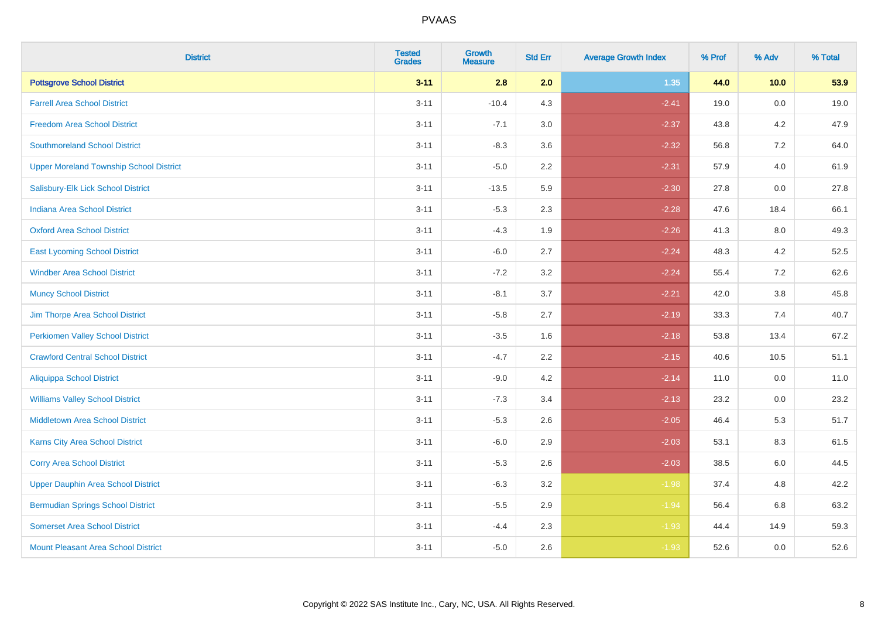| <b>District</b>                                | <b>Tested</b><br><b>Grades</b> | <b>Growth</b><br><b>Measure</b> | <b>Std Err</b> | <b>Average Growth Index</b> | % Prof | % Adv | % Total |
|------------------------------------------------|--------------------------------|---------------------------------|----------------|-----------------------------|--------|-------|---------|
| <b>Pottsgrove School District</b>              | $3 - 11$                       | 2.8                             | 2.0            | 1.35                        | 44.0   | 10.0  | 53.9    |
| <b>Farrell Area School District</b>            | $3 - 11$                       | $-10.4$                         | 4.3            | $-2.41$                     | 19.0   | 0.0   | 19.0    |
| <b>Freedom Area School District</b>            | $3 - 11$                       | $-7.1$                          | 3.0            | $-2.37$                     | 43.8   | 4.2   | 47.9    |
| <b>Southmoreland School District</b>           | $3 - 11$                       | $-8.3$                          | 3.6            | $-2.32$                     | 56.8   | 7.2   | 64.0    |
| <b>Upper Moreland Township School District</b> | $3 - 11$                       | $-5.0$                          | 2.2            | $-2.31$                     | 57.9   | 4.0   | 61.9    |
| Salisbury-Elk Lick School District             | $3 - 11$                       | $-13.5$                         | 5.9            | $-2.30$                     | 27.8   | 0.0   | 27.8    |
| <b>Indiana Area School District</b>            | $3 - 11$                       | $-5.3$                          | 2.3            | $-2.28$                     | 47.6   | 18.4  | 66.1    |
| <b>Oxford Area School District</b>             | $3 - 11$                       | $-4.3$                          | 1.9            | $-2.26$                     | 41.3   | 8.0   | 49.3    |
| <b>East Lycoming School District</b>           | $3 - 11$                       | $-6.0$                          | 2.7            | $-2.24$                     | 48.3   | 4.2   | 52.5    |
| <b>Windber Area School District</b>            | $3 - 11$                       | $-7.2$                          | 3.2            | $-2.24$                     | 55.4   | 7.2   | 62.6    |
| <b>Muncy School District</b>                   | $3 - 11$                       | $-8.1$                          | 3.7            | $-2.21$                     | 42.0   | 3.8   | 45.8    |
| Jim Thorpe Area School District                | $3 - 11$                       | $-5.8$                          | 2.7            | $-2.19$                     | 33.3   | 7.4   | 40.7    |
| <b>Perkiomen Valley School District</b>        | $3 - 11$                       | $-3.5$                          | 1.6            | $-2.18$                     | 53.8   | 13.4  | 67.2    |
| <b>Crawford Central School District</b>        | $3 - 11$                       | $-4.7$                          | 2.2            | $-2.15$                     | 40.6   | 10.5  | 51.1    |
| <b>Aliquippa School District</b>               | $3 - 11$                       | $-9.0$                          | 4.2            | $-2.14$                     | 11.0   | 0.0   | 11.0    |
| <b>Williams Valley School District</b>         | $3 - 11$                       | $-7.3$                          | 3.4            | $-2.13$                     | 23.2   | 0.0   | 23.2    |
| Middletown Area School District                | $3 - 11$                       | $-5.3$                          | 2.6            | $-2.05$                     | 46.4   | 5.3   | 51.7    |
| Karns City Area School District                | $3 - 11$                       | $-6.0$                          | 2.9            | $-2.03$                     | 53.1   | 8.3   | 61.5    |
| <b>Corry Area School District</b>              | $3 - 11$                       | $-5.3$                          | 2.6            | $-2.03$                     | 38.5   | 6.0   | 44.5    |
| <b>Upper Dauphin Area School District</b>      | $3 - 11$                       | $-6.3$                          | 3.2            | $-1.98$                     | 37.4   | 4.8   | 42.2    |
| <b>Bermudian Springs School District</b>       | $3 - 11$                       | $-5.5$                          | 2.9            | $-1.94$                     | 56.4   | 6.8   | 63.2    |
| <b>Somerset Area School District</b>           | $3 - 11$                       | $-4.4$                          | 2.3            | $-1.93$                     | 44.4   | 14.9  | 59.3    |
| <b>Mount Pleasant Area School District</b>     | $3 - 11$                       | $-5.0$                          | 2.6            | $-1.93$                     | 52.6   | 0.0   | 52.6    |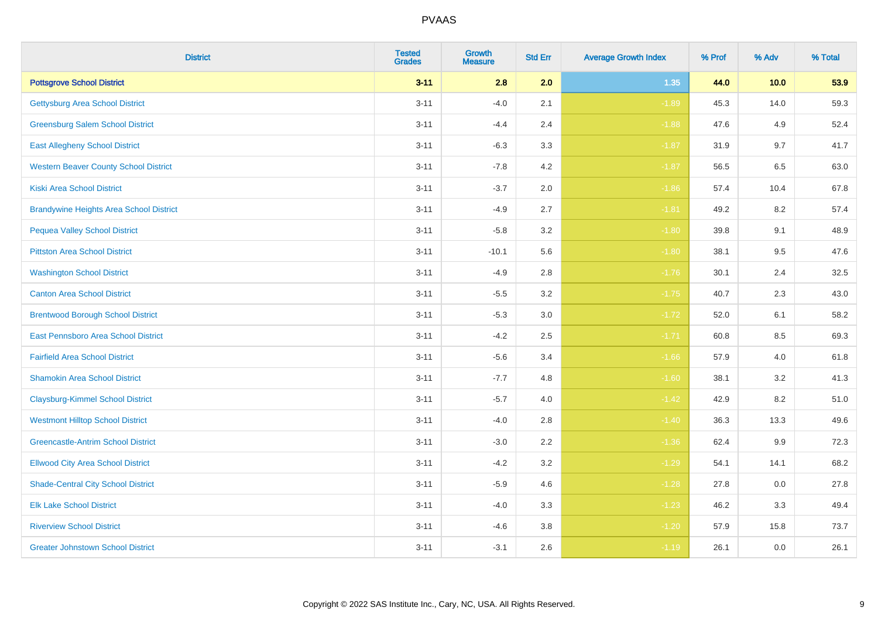| <b>District</b>                                | <b>Tested</b><br><b>Grades</b> | <b>Growth</b><br><b>Measure</b> | <b>Std Err</b> | <b>Average Growth Index</b> | % Prof | % Adv   | % Total |
|------------------------------------------------|--------------------------------|---------------------------------|----------------|-----------------------------|--------|---------|---------|
| <b>Pottsgrove School District</b>              | $3 - 11$                       | 2.8                             | 2.0            | 1.35                        | 44.0   | 10.0    | 53.9    |
| <b>Gettysburg Area School District</b>         | $3 - 11$                       | $-4.0$                          | 2.1            | $-1.89$                     | 45.3   | 14.0    | 59.3    |
| <b>Greensburg Salem School District</b>        | $3 - 11$                       | $-4.4$                          | 2.4            | $-1.88$                     | 47.6   | 4.9     | 52.4    |
| <b>East Allegheny School District</b>          | $3 - 11$                       | $-6.3$                          | 3.3            | $-1.87$                     | 31.9   | 9.7     | 41.7    |
| <b>Western Beaver County School District</b>   | $3 - 11$                       | $-7.8$                          | 4.2            | $-1.87$                     | 56.5   | 6.5     | 63.0    |
| <b>Kiski Area School District</b>              | $3 - 11$                       | $-3.7$                          | 2.0            | $-1.86$                     | 57.4   | 10.4    | 67.8    |
| <b>Brandywine Heights Area School District</b> | $3 - 11$                       | $-4.9$                          | 2.7            | $-1.81$                     | 49.2   | 8.2     | 57.4    |
| <b>Pequea Valley School District</b>           | $3 - 11$                       | $-5.8$                          | 3.2            | $-1.80$                     | 39.8   | 9.1     | 48.9    |
| <b>Pittston Area School District</b>           | $3 - 11$                       | $-10.1$                         | 5.6            | $-1.80$                     | 38.1   | 9.5     | 47.6    |
| <b>Washington School District</b>              | $3 - 11$                       | $-4.9$                          | 2.8            | $-1.76$                     | 30.1   | 2.4     | 32.5    |
| <b>Canton Area School District</b>             | $3 - 11$                       | $-5.5$                          | 3.2            | $-1.75$                     | 40.7   | 2.3     | 43.0    |
| <b>Brentwood Borough School District</b>       | $3 - 11$                       | $-5.3$                          | 3.0            | $-1.72$                     | 52.0   | 6.1     | 58.2    |
| East Pennsboro Area School District            | $3 - 11$                       | $-4.2$                          | 2.5            | $-1.71$                     | 60.8   | $8.5\,$ | 69.3    |
| <b>Fairfield Area School District</b>          | $3 - 11$                       | $-5.6$                          | 3.4            | $-1.66$                     | 57.9   | 4.0     | 61.8    |
| <b>Shamokin Area School District</b>           | $3 - 11$                       | $-7.7$                          | 4.8            | $-1.60$                     | 38.1   | 3.2     | 41.3    |
| <b>Claysburg-Kimmel School District</b>        | $3 - 11$                       | $-5.7$                          | 4.0            | $-1.42$                     | 42.9   | 8.2     | 51.0    |
| <b>Westmont Hilltop School District</b>        | $3 - 11$                       | $-4.0$                          | 2.8            | $-1.40$                     | 36.3   | 13.3    | 49.6    |
| <b>Greencastle-Antrim School District</b>      | $3 - 11$                       | $-3.0$                          | 2.2            | $-1.36$                     | 62.4   | 9.9     | 72.3    |
| <b>Ellwood City Area School District</b>       | $3 - 11$                       | $-4.2$                          | 3.2            | $-1.29$                     | 54.1   | 14.1    | 68.2    |
| <b>Shade-Central City School District</b>      | $3 - 11$                       | $-5.9$                          | 4.6            | $-1.28$                     | 27.8   | 0.0     | 27.8    |
| <b>Elk Lake School District</b>                | $3 - 11$                       | $-4.0$                          | 3.3            | $-1.23$                     | 46.2   | 3.3     | 49.4    |
| <b>Riverview School District</b>               | $3 - 11$                       | $-4.6$                          | 3.8            | $-1.20$                     | 57.9   | 15.8    | 73.7    |
| <b>Greater Johnstown School District</b>       | $3 - 11$                       | $-3.1$                          | 2.6            | $-1.19$                     | 26.1   | 0.0     | 26.1    |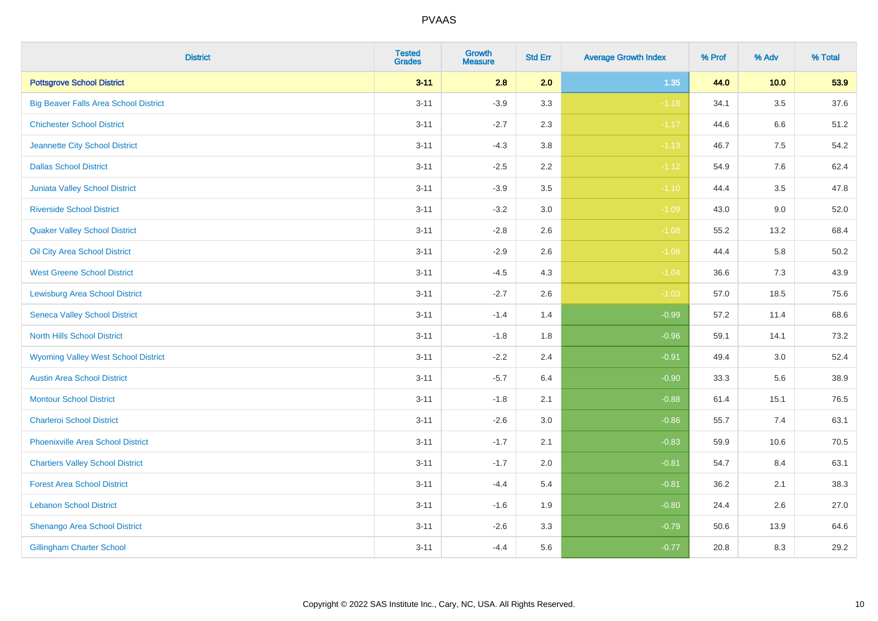| <b>District</b>                              | <b>Tested</b><br><b>Grades</b> | Growth<br><b>Measure</b> | <b>Std Err</b> | <b>Average Growth Index</b> | % Prof | % Adv   | % Total |
|----------------------------------------------|--------------------------------|--------------------------|----------------|-----------------------------|--------|---------|---------|
| <b>Pottsgrove School District</b>            | $3 - 11$                       | 2.8                      | 2.0            | 1.35                        | 44.0   | 10.0    | 53.9    |
| <b>Big Beaver Falls Area School District</b> | $3 - 11$                       | $-3.9$                   | 3.3            | $-1.18$                     | 34.1   | 3.5     | 37.6    |
| <b>Chichester School District</b>            | $3 - 11$                       | $-2.7$                   | 2.3            | $-1.17$                     | 44.6   | 6.6     | 51.2    |
| Jeannette City School District               | $3 - 11$                       | $-4.3$                   | 3.8            | $-1.13$                     | 46.7   | $7.5\,$ | 54.2    |
| <b>Dallas School District</b>                | $3 - 11$                       | $-2.5$                   | 2.2            | $-1.12$                     | 54.9   | 7.6     | 62.4    |
| Juniata Valley School District               | $3 - 11$                       | $-3.9$                   | 3.5            | $-1.10$                     | 44.4   | 3.5     | 47.8    |
| <b>Riverside School District</b>             | $3 - 11$                       | $-3.2$                   | 3.0            | $-1.09$                     | 43.0   | 9.0     | 52.0    |
| <b>Quaker Valley School District</b>         | $3 - 11$                       | $-2.8$                   | 2.6            | $-1.08$                     | 55.2   | 13.2    | 68.4    |
| Oil City Area School District                | $3 - 11$                       | $-2.9$                   | 2.6            | $-1.08$                     | 44.4   | 5.8     | 50.2    |
| <b>West Greene School District</b>           | $3 - 11$                       | $-4.5$                   | 4.3            | $-1.04$                     | 36.6   | 7.3     | 43.9    |
| <b>Lewisburg Area School District</b>        | $3 - 11$                       | $-2.7$                   | 2.6            | $-1.03$                     | 57.0   | 18.5    | 75.6    |
| <b>Seneca Valley School District</b>         | $3 - 11$                       | $-1.4$                   | 1.4            | $-0.99$                     | 57.2   | 11.4    | 68.6    |
| <b>North Hills School District</b>           | $3 - 11$                       | $-1.8$                   | 1.8            | $-0.96$                     | 59.1   | 14.1    | 73.2    |
| <b>Wyoming Valley West School District</b>   | $3 - 11$                       | $-2.2$                   | 2.4            | $-0.91$                     | 49.4   | 3.0     | 52.4    |
| <b>Austin Area School District</b>           | $3 - 11$                       | $-5.7$                   | 6.4            | $-0.90$                     | 33.3   | 5.6     | 38.9    |
| <b>Montour School District</b>               | $3 - 11$                       | $-1.8$                   | 2.1            | $-0.88$                     | 61.4   | 15.1    | 76.5    |
| <b>Charleroi School District</b>             | $3 - 11$                       | $-2.6$                   | 3.0            | $-0.86$                     | 55.7   | 7.4     | 63.1    |
| <b>Phoenixville Area School District</b>     | $3 - 11$                       | $-1.7$                   | 2.1            | $-0.83$                     | 59.9   | 10.6    | 70.5    |
| <b>Chartiers Valley School District</b>      | $3 - 11$                       | $-1.7$                   | 2.0            | $-0.81$                     | 54.7   | 8.4     | 63.1    |
| <b>Forest Area School District</b>           | $3 - 11$                       | $-4.4$                   | 5.4            | $-0.81$                     | 36.2   | 2.1     | 38.3    |
| <b>Lebanon School District</b>               | $3 - 11$                       | $-1.6$                   | 1.9            | $-0.80$                     | 24.4   | 2.6     | 27.0    |
| Shenango Area School District                | $3 - 11$                       | $-2.6$                   | 3.3            | $-0.79$                     | 50.6   | 13.9    | 64.6    |
| <b>Gillingham Charter School</b>             | $3 - 11$                       | $-4.4$                   | 5.6            | $-0.77$                     | 20.8   | 8.3     | 29.2    |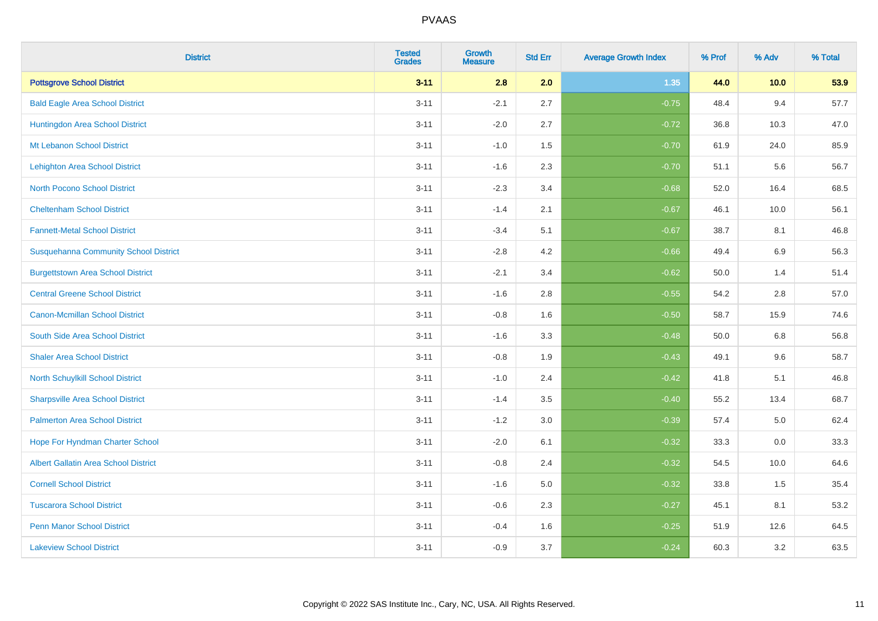| <b>District</b>                              | <b>Tested</b><br><b>Grades</b> | <b>Growth</b><br><b>Measure</b> | <b>Std Err</b> | <b>Average Growth Index</b> | % Prof | % Adv | % Total |
|----------------------------------------------|--------------------------------|---------------------------------|----------------|-----------------------------|--------|-------|---------|
| <b>Pottsgrove School District</b>            | $3 - 11$                       | 2.8                             | 2.0            | 1.35                        | 44.0   | 10.0  | 53.9    |
| <b>Bald Eagle Area School District</b>       | $3 - 11$                       | $-2.1$                          | 2.7            | $-0.75$                     | 48.4   | 9.4   | 57.7    |
| Huntingdon Area School District              | $3 - 11$                       | $-2.0$                          | 2.7            | $-0.72$                     | 36.8   | 10.3  | 47.0    |
| Mt Lebanon School District                   | $3 - 11$                       | $-1.0$                          | 1.5            | $-0.70$                     | 61.9   | 24.0  | 85.9    |
| Lehighton Area School District               | $3 - 11$                       | $-1.6$                          | 2.3            | $-0.70$                     | 51.1   | 5.6   | 56.7    |
| <b>North Pocono School District</b>          | $3 - 11$                       | $-2.3$                          | 3.4            | $-0.68$                     | 52.0   | 16.4  | 68.5    |
| <b>Cheltenham School District</b>            | $3 - 11$                       | $-1.4$                          | 2.1            | $-0.67$                     | 46.1   | 10.0  | 56.1    |
| <b>Fannett-Metal School District</b>         | $3 - 11$                       | $-3.4$                          | 5.1            | $-0.67$                     | 38.7   | 8.1   | 46.8    |
| <b>Susquehanna Community School District</b> | $3 - 11$                       | $-2.8$                          | 4.2            | $-0.66$                     | 49.4   | 6.9   | 56.3    |
| <b>Burgettstown Area School District</b>     | $3 - 11$                       | $-2.1$                          | 3.4            | $-0.62$                     | 50.0   | 1.4   | 51.4    |
| <b>Central Greene School District</b>        | $3 - 11$                       | $-1.6$                          | 2.8            | $-0.55$                     | 54.2   | 2.8   | 57.0    |
| <b>Canon-Mcmillan School District</b>        | $3 - 11$                       | $-0.8$                          | 1.6            | $-0.50$                     | 58.7   | 15.9  | 74.6    |
| South Side Area School District              | $3 - 11$                       | $-1.6$                          | 3.3            | $-0.48$                     | 50.0   | 6.8   | 56.8    |
| <b>Shaler Area School District</b>           | $3 - 11$                       | $-0.8$                          | 1.9            | $-0.43$                     | 49.1   | 9.6   | 58.7    |
| North Schuylkill School District             | $3 - 11$                       | $-1.0$                          | 2.4            | $-0.42$                     | 41.8   | 5.1   | 46.8    |
| <b>Sharpsville Area School District</b>      | $3 - 11$                       | $-1.4$                          | 3.5            | $-0.40$                     | 55.2   | 13.4  | 68.7    |
| <b>Palmerton Area School District</b>        | $3 - 11$                       | $-1.2$                          | 3.0            | $-0.39$                     | 57.4   | 5.0   | 62.4    |
| Hope For Hyndman Charter School              | $3 - 11$                       | $-2.0$                          | 6.1            | $-0.32$                     | 33.3   | 0.0   | 33.3    |
| <b>Albert Gallatin Area School District</b>  | $3 - 11$                       | $-0.8$                          | 2.4            | $-0.32$                     | 54.5   | 10.0  | 64.6    |
| <b>Cornell School District</b>               | $3 - 11$                       | $-1.6$                          | 5.0            | $-0.32$                     | 33.8   | 1.5   | 35.4    |
| <b>Tuscarora School District</b>             | $3 - 11$                       | $-0.6$                          | 2.3            | $-0.27$                     | 45.1   | 8.1   | 53.2    |
| <b>Penn Manor School District</b>            | $3 - 11$                       | $-0.4$                          | 1.6            | $-0.25$                     | 51.9   | 12.6  | 64.5    |
| <b>Lakeview School District</b>              | $3 - 11$                       | $-0.9$                          | 3.7            | $-0.24$                     | 60.3   | 3.2   | 63.5    |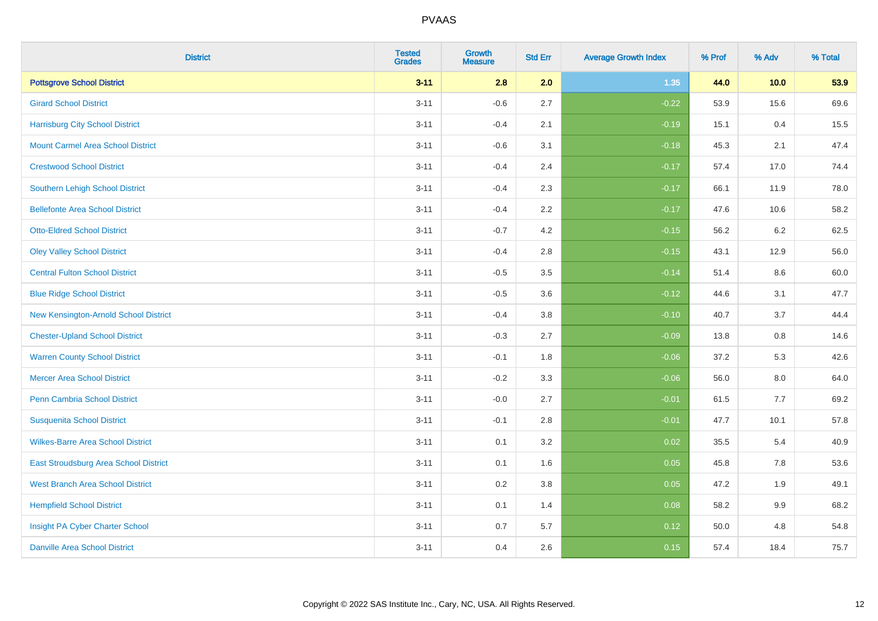| <b>District</b>                          | <b>Tested</b><br><b>Grades</b> | <b>Growth</b><br><b>Measure</b> | <b>Std Err</b> | <b>Average Growth Index</b> | % Prof | % Adv   | % Total |
|------------------------------------------|--------------------------------|---------------------------------|----------------|-----------------------------|--------|---------|---------|
| <b>Pottsgrove School District</b>        | $3 - 11$                       | 2.8                             | 2.0            | 1.35                        | 44.0   | 10.0    | 53.9    |
| <b>Girard School District</b>            | $3 - 11$                       | $-0.6$                          | 2.7            | $-0.22$                     | 53.9   | 15.6    | 69.6    |
| <b>Harrisburg City School District</b>   | $3 - 11$                       | $-0.4$                          | 2.1            | $-0.19$                     | 15.1   | 0.4     | 15.5    |
| <b>Mount Carmel Area School District</b> | $3 - 11$                       | $-0.6$                          | 3.1            | $-0.18$                     | 45.3   | 2.1     | 47.4    |
| <b>Crestwood School District</b>         | $3 - 11$                       | $-0.4$                          | 2.4            | $-0.17$                     | 57.4   | 17.0    | 74.4    |
| <b>Southern Lehigh School District</b>   | $3 - 11$                       | $-0.4$                          | 2.3            | $-0.17$                     | 66.1   | 11.9    | 78.0    |
| <b>Bellefonte Area School District</b>   | $3 - 11$                       | $-0.4$                          | 2.2            | $-0.17$                     | 47.6   | 10.6    | 58.2    |
| <b>Otto-Eldred School District</b>       | $3 - 11$                       | $-0.7$                          | 4.2            | $-0.15$                     | 56.2   | $6.2\,$ | 62.5    |
| <b>Oley Valley School District</b>       | $3 - 11$                       | $-0.4$                          | 2.8            | $-0.15$                     | 43.1   | 12.9    | 56.0    |
| <b>Central Fulton School District</b>    | $3 - 11$                       | $-0.5$                          | 3.5            | $-0.14$                     | 51.4   | 8.6     | 60.0    |
| <b>Blue Ridge School District</b>        | $3 - 11$                       | $-0.5$                          | 3.6            | $-0.12$                     | 44.6   | 3.1     | 47.7    |
| New Kensington-Arnold School District    | $3 - 11$                       | $-0.4$                          | 3.8            | $-0.10$                     | 40.7   | 3.7     | 44.4    |
| <b>Chester-Upland School District</b>    | $3 - 11$                       | $-0.3$                          | 2.7            | $-0.09$                     | 13.8   | $0.8\,$ | 14.6    |
| <b>Warren County School District</b>     | $3 - 11$                       | $-0.1$                          | 1.8            | $-0.06$                     | 37.2   | 5.3     | 42.6    |
| <b>Mercer Area School District</b>       | $3 - 11$                       | $-0.2$                          | 3.3            | $-0.06$                     | 56.0   | $8.0\,$ | 64.0    |
| <b>Penn Cambria School District</b>      | $3 - 11$                       | $-0.0$                          | 2.7            | $-0.01$                     | 61.5   | $7.7$   | 69.2    |
| <b>Susquenita School District</b>        | $3 - 11$                       | $-0.1$                          | 2.8            | $-0.01$                     | 47.7   | 10.1    | 57.8    |
| <b>Wilkes-Barre Area School District</b> | $3 - 11$                       | 0.1                             | 3.2            | 0.02                        | 35.5   | 5.4     | 40.9    |
| East Stroudsburg Area School District    | $3 - 11$                       | 0.1                             | 1.6            | 0.05                        | 45.8   | 7.8     | 53.6    |
| <b>West Branch Area School District</b>  | $3 - 11$                       | 0.2                             | 3.8            | 0.05                        | 47.2   | 1.9     | 49.1    |
| <b>Hempfield School District</b>         | $3 - 11$                       | 0.1                             | 1.4            | 0.08                        | 58.2   | 9.9     | 68.2    |
| Insight PA Cyber Charter School          | $3 - 11$                       | 0.7                             | 5.7            | 0.12                        | 50.0   | 4.8     | 54.8    |
| <b>Danville Area School District</b>     | $3 - 11$                       | 0.4                             | 2.6            | 0.15                        | 57.4   | 18.4    | 75.7    |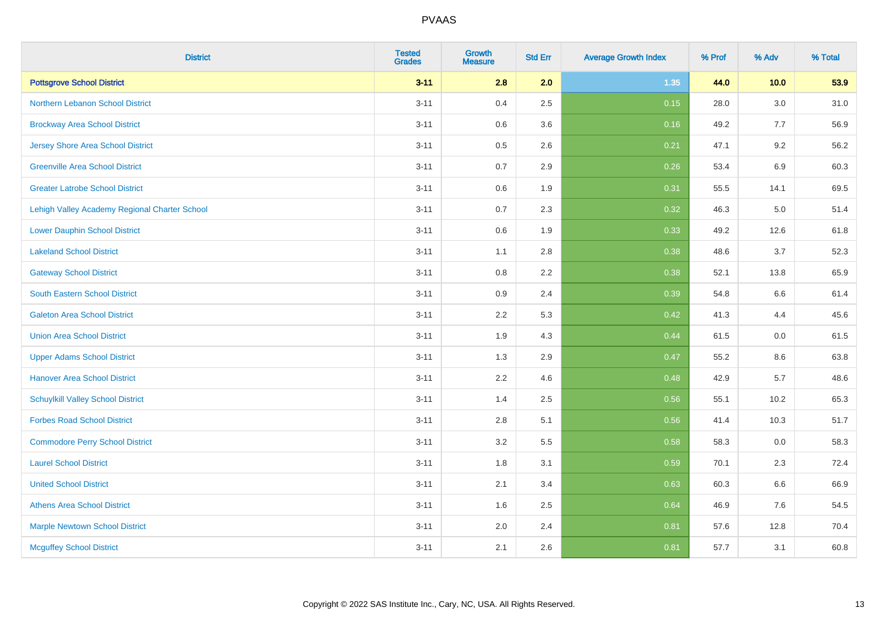| <b>District</b>                               | <b>Tested</b><br><b>Grades</b> | <b>Growth</b><br><b>Measure</b> | <b>Std Err</b> | <b>Average Growth Index</b> | % Prof | % Adv   | % Total |
|-----------------------------------------------|--------------------------------|---------------------------------|----------------|-----------------------------|--------|---------|---------|
| <b>Pottsgrove School District</b>             | $3 - 11$                       | 2.8                             | 2.0            | 1.35                        | 44.0   | 10.0    | 53.9    |
| Northern Lebanon School District              | $3 - 11$                       | 0.4                             | 2.5            | 0.15                        | 28.0   | $3.0\,$ | 31.0    |
| <b>Brockway Area School District</b>          | $3 - 11$                       | 0.6                             | 3.6            | 0.16                        | 49.2   | 7.7     | 56.9    |
| <b>Jersey Shore Area School District</b>      | $3 - 11$                       | 0.5                             | 2.6            | 0.21                        | 47.1   | 9.2     | 56.2    |
| <b>Greenville Area School District</b>        | $3 - 11$                       | 0.7                             | 2.9            | 0.26                        | 53.4   | $6.9\,$ | 60.3    |
| <b>Greater Latrobe School District</b>        | $3 - 11$                       | 0.6                             | 1.9            | 0.31                        | 55.5   | 14.1    | 69.5    |
| Lehigh Valley Academy Regional Charter School | $3 - 11$                       | 0.7                             | 2.3            | 0.32                        | 46.3   | 5.0     | 51.4    |
| <b>Lower Dauphin School District</b>          | $3 - 11$                       | 0.6                             | 1.9            | 0.33                        | 49.2   | 12.6    | 61.8    |
| <b>Lakeland School District</b>               | $3 - 11$                       | 1.1                             | 2.8            | 0.38                        | 48.6   | 3.7     | 52.3    |
| <b>Gateway School District</b>                | $3 - 11$                       | 0.8                             | $2.2\,$        | 0.38                        | 52.1   | 13.8    | 65.9    |
| South Eastern School District                 | $3 - 11$                       | 0.9                             | 2.4            | 0.39                        | 54.8   | 6.6     | 61.4    |
| <b>Galeton Area School District</b>           | $3 - 11$                       | 2.2                             | 5.3            | 0.42                        | 41.3   | 4.4     | 45.6    |
| <b>Union Area School District</b>             | $3 - 11$                       | 1.9                             | 4.3            | 0.44                        | 61.5   | $0.0\,$ | 61.5    |
| <b>Upper Adams School District</b>            | $3 - 11$                       | 1.3                             | 2.9            | 0.47                        | 55.2   | 8.6     | 63.8    |
| <b>Hanover Area School District</b>           | $3 - 11$                       | 2.2                             | 4.6            | 0.48                        | 42.9   | 5.7     | 48.6    |
| <b>Schuylkill Valley School District</b>      | $3 - 11$                       | 1.4                             | 2.5            | 0.56                        | 55.1   | 10.2    | 65.3    |
| <b>Forbes Road School District</b>            | $3 - 11$                       | 2.8                             | 5.1            | 0.56                        | 41.4   | 10.3    | 51.7    |
| <b>Commodore Perry School District</b>        | $3 - 11$                       | 3.2                             | 5.5            | 0.58                        | 58.3   | 0.0     | 58.3    |
| <b>Laurel School District</b>                 | $3 - 11$                       | 1.8                             | 3.1            | 0.59                        | 70.1   | 2.3     | 72.4    |
| <b>United School District</b>                 | $3 - 11$                       | 2.1                             | 3.4            | 0.63                        | 60.3   | 6.6     | 66.9    |
| <b>Athens Area School District</b>            | $3 - 11$                       | 1.6                             | 2.5            | 0.64                        | 46.9   | 7.6     | 54.5    |
| <b>Marple Newtown School District</b>         | $3 - 11$                       | 2.0                             | 2.4            | 0.81                        | 57.6   | 12.8    | 70.4    |
| <b>Mcguffey School District</b>               | $3 - 11$                       | 2.1                             | 2.6            | 0.81                        | 57.7   | 3.1     | 60.8    |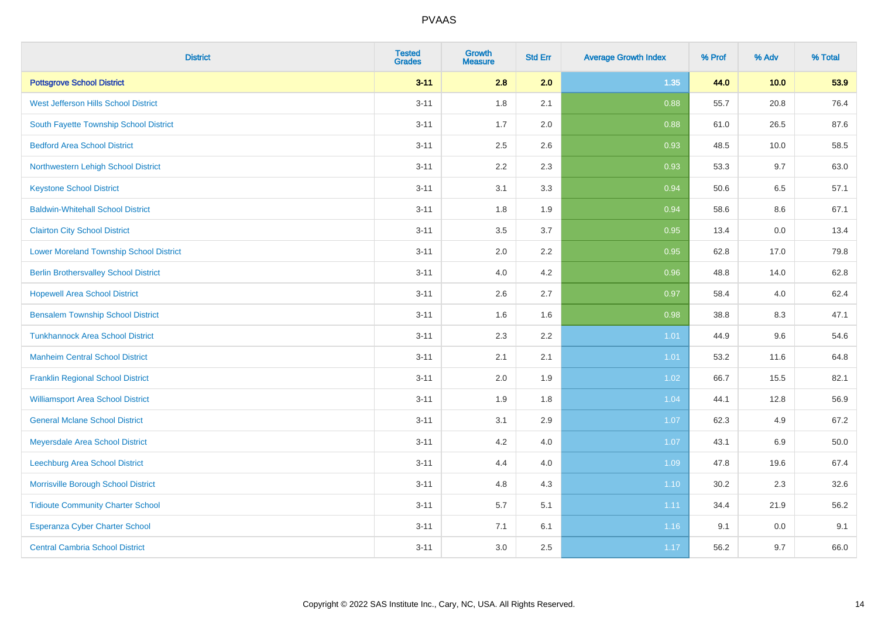| <b>District</b>                                | <b>Tested</b><br><b>Grades</b> | Growth<br><b>Measure</b> | <b>Std Err</b> | <b>Average Growth Index</b> | % Prof | % Adv   | % Total |
|------------------------------------------------|--------------------------------|--------------------------|----------------|-----------------------------|--------|---------|---------|
| <b>Pottsgrove School District</b>              | $3 - 11$                       | 2.8                      | 2.0            | 1.35                        | 44.0   | 10.0    | 53.9    |
| West Jefferson Hills School District           | $3 - 11$                       | 1.8                      | 2.1            | 0.88                        | 55.7   | 20.8    | 76.4    |
| South Fayette Township School District         | $3 - 11$                       | 1.7                      | 2.0            | 0.88                        | 61.0   | 26.5    | 87.6    |
| <b>Bedford Area School District</b>            | $3 - 11$                       | 2.5                      | 2.6            | 0.93                        | 48.5   | 10.0    | 58.5    |
| Northwestern Lehigh School District            | $3 - 11$                       | 2.2                      | 2.3            | 0.93                        | 53.3   | 9.7     | 63.0    |
| <b>Keystone School District</b>                | $3 - 11$                       | 3.1                      | 3.3            | 0.94                        | 50.6   | 6.5     | 57.1    |
| <b>Baldwin-Whitehall School District</b>       | $3 - 11$                       | 1.8                      | 1.9            | 0.94                        | 58.6   | $8.6\,$ | 67.1    |
| <b>Clairton City School District</b>           | $3 - 11$                       | 3.5                      | 3.7            | 0.95                        | 13.4   | 0.0     | 13.4    |
| <b>Lower Moreland Township School District</b> | $3 - 11$                       | 2.0                      | 2.2            | 0.95                        | 62.8   | 17.0    | 79.8    |
| <b>Berlin Brothersvalley School District</b>   | $3 - 11$                       | 4.0                      | 4.2            | 0.96                        | 48.8   | 14.0    | 62.8    |
| <b>Hopewell Area School District</b>           | $3 - 11$                       | 2.6                      | 2.7            | 0.97                        | 58.4   | 4.0     | 62.4    |
| <b>Bensalem Township School District</b>       | $3 - 11$                       | 1.6                      | 1.6            | 0.98                        | 38.8   | 8.3     | 47.1    |
| <b>Tunkhannock Area School District</b>        | $3 - 11$                       | 2.3                      | 2.2            | 1.01                        | 44.9   | 9.6     | 54.6    |
| <b>Manheim Central School District</b>         | $3 - 11$                       | 2.1                      | 2.1            | 1.01                        | 53.2   | 11.6    | 64.8    |
| <b>Franklin Regional School District</b>       | $3 - 11$                       | 2.0                      | 1.9            | 1.02                        | 66.7   | 15.5    | 82.1    |
| <b>Williamsport Area School District</b>       | $3 - 11$                       | 1.9                      | 1.8            | 1.04                        | 44.1   | 12.8    | 56.9    |
| <b>General Mclane School District</b>          | $3 - 11$                       | 3.1                      | 2.9            | 1.07                        | 62.3   | 4.9     | 67.2    |
| Meyersdale Area School District                | $3 - 11$                       | 4.2                      | 4.0            | 1.07                        | 43.1   | $6.9\,$ | 50.0    |
| <b>Leechburg Area School District</b>          | $3 - 11$                       | 4.4                      | 4.0            | 1.09                        | 47.8   | 19.6    | 67.4    |
| Morrisville Borough School District            | $3 - 11$                       | 4.8                      | 4.3            | 1.10                        | 30.2   | 2.3     | 32.6    |
| <b>Tidioute Community Charter School</b>       | $3 - 11$                       | 5.7                      | 5.1            | 1.11                        | 34.4   | 21.9    | 56.2    |
| Esperanza Cyber Charter School                 | $3 - 11$                       | 7.1                      | 6.1            | 1.16                        | 9.1    | 0.0     | 9.1     |
| <b>Central Cambria School District</b>         | $3 - 11$                       | 3.0                      | 2.5            | 1.17                        | 56.2   | 9.7     | 66.0    |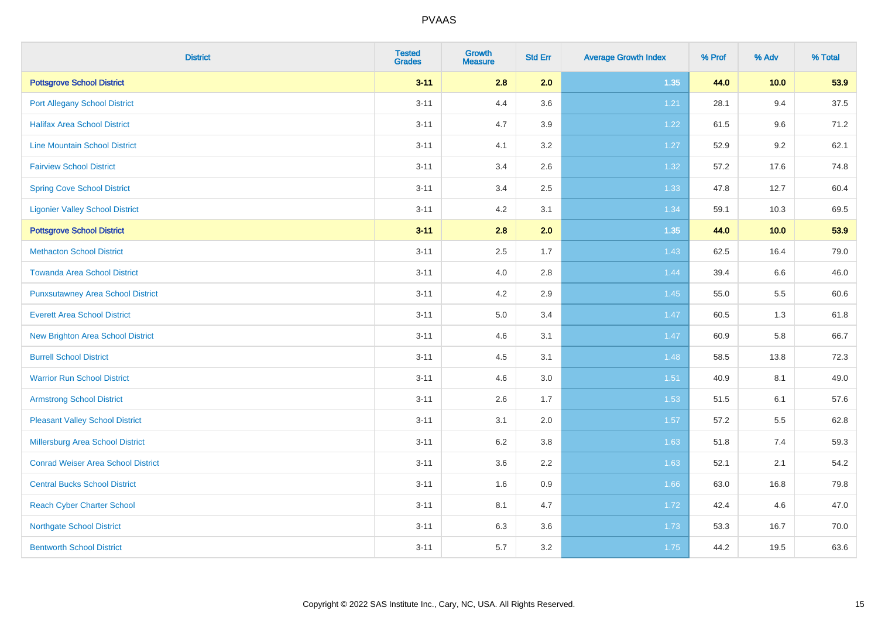| <b>District</b>                           | <b>Tested</b><br><b>Grades</b> | <b>Growth</b><br><b>Measure</b> | <b>Std Err</b> | <b>Average Growth Index</b> | % Prof | % Adv   | % Total |
|-------------------------------------------|--------------------------------|---------------------------------|----------------|-----------------------------|--------|---------|---------|
| <b>Pottsgrove School District</b>         | $3 - 11$                       | 2.8                             | 2.0            | 1.35                        | 44.0   | 10.0    | 53.9    |
| <b>Port Allegany School District</b>      | $3 - 11$                       | 4.4                             | 3.6            | 1.21                        | 28.1   | 9.4     | 37.5    |
| <b>Halifax Area School District</b>       | $3 - 11$                       | 4.7                             | 3.9            | 1.22                        | 61.5   | 9.6     | 71.2    |
| <b>Line Mountain School District</b>      | $3 - 11$                       | 4.1                             | 3.2            | 1.27                        | 52.9   | $9.2\,$ | 62.1    |
| <b>Fairview School District</b>           | $3 - 11$                       | 3.4                             | 2.6            | 1.32                        | 57.2   | 17.6    | 74.8    |
| <b>Spring Cove School District</b>        | $3 - 11$                       | 3.4                             | 2.5            | 1.33                        | 47.8   | 12.7    | 60.4    |
| <b>Ligonier Valley School District</b>    | $3 - 11$                       | 4.2                             | 3.1            | 1.34                        | 59.1   | 10.3    | 69.5    |
| <b>Pottsgrove School District</b>         | $3 - 11$                       | 2.8                             | 2.0            | 1.35                        | 44.0   | 10.0    | 53.9    |
| <b>Methacton School District</b>          | $3 - 11$                       | 2.5                             | 1.7            | 1.43                        | 62.5   | 16.4    | 79.0    |
| <b>Towanda Area School District</b>       | $3 - 11$                       | 4.0                             | 2.8            | 1.44                        | 39.4   | 6.6     | 46.0    |
| <b>Punxsutawney Area School District</b>  | $3 - 11$                       | 4.2                             | 2.9            | 1.45                        | 55.0   | 5.5     | 60.6    |
| <b>Everett Area School District</b>       | $3 - 11$                       | 5.0                             | 3.4            | 1.47                        | 60.5   | 1.3     | 61.8    |
| New Brighton Area School District         | $3 - 11$                       | 4.6                             | 3.1            | 1.47                        | 60.9   | 5.8     | 66.7    |
| <b>Burrell School District</b>            | $3 - 11$                       | 4.5                             | 3.1            | 1.48                        | 58.5   | 13.8    | 72.3    |
| <b>Warrior Run School District</b>        | $3 - 11$                       | 4.6                             | 3.0            | 1.51                        | 40.9   | 8.1     | 49.0    |
| <b>Armstrong School District</b>          | $3 - 11$                       | 2.6                             | 1.7            | 1.53                        | 51.5   | 6.1     | 57.6    |
| <b>Pleasant Valley School District</b>    | $3 - 11$                       | 3.1                             | 2.0            | 1.57                        | 57.2   | 5.5     | 62.8    |
| Millersburg Area School District          | $3 - 11$                       | 6.2                             | 3.8            | 1.63                        | 51.8   | 7.4     | 59.3    |
| <b>Conrad Weiser Area School District</b> | $3 - 11$                       | 3.6                             | 2.2            | 1.63                        | 52.1   | 2.1     | 54.2    |
| <b>Central Bucks School District</b>      | $3 - 11$                       | 1.6                             | 0.9            | 1.66                        | 63.0   | 16.8    | 79.8    |
| <b>Reach Cyber Charter School</b>         | $3 - 11$                       | 8.1                             | 4.7            | 1.72                        | 42.4   | 4.6     | 47.0    |
| <b>Northgate School District</b>          | $3 - 11$                       | 6.3                             | 3.6            | 1.73                        | 53.3   | 16.7    | 70.0    |
| <b>Bentworth School District</b>          | $3 - 11$                       | 5.7                             | 3.2            | 1.75                        | 44.2   | 19.5    | 63.6    |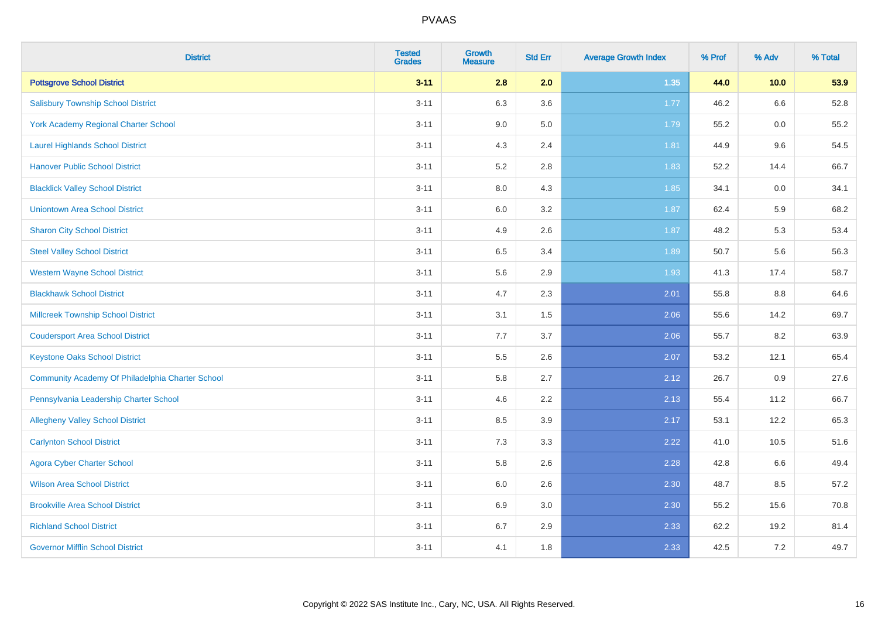| <b>District</b>                                  | <b>Tested</b><br><b>Grades</b> | <b>Growth</b><br><b>Measure</b> | <b>Std Err</b> | <b>Average Growth Index</b> | % Prof | % Adv | % Total |
|--------------------------------------------------|--------------------------------|---------------------------------|----------------|-----------------------------|--------|-------|---------|
| <b>Pottsgrove School District</b>                | $3 - 11$                       | 2.8                             | 2.0            | 1.35                        | 44.0   | 10.0  | 53.9    |
| <b>Salisbury Township School District</b>        | $3 - 11$                       | 6.3                             | 3.6            | 1.77                        | 46.2   | 6.6   | 52.8    |
| York Academy Regional Charter School             | $3 - 11$                       | 9.0                             | 5.0            | 1.79                        | 55.2   | 0.0   | 55.2    |
| <b>Laurel Highlands School District</b>          | $3 - 11$                       | 4.3                             | 2.4            | 1.81                        | 44.9   | 9.6   | 54.5    |
| <b>Hanover Public School District</b>            | $3 - 11$                       | 5.2                             | 2.8            | 1.83                        | 52.2   | 14.4  | 66.7    |
| <b>Blacklick Valley School District</b>          | $3 - 11$                       | $8.0\,$                         | 4.3            | 1.85                        | 34.1   | 0.0   | 34.1    |
| <b>Uniontown Area School District</b>            | $3 - 11$                       | $6.0\,$                         | 3.2            | 1.87                        | 62.4   | 5.9   | 68.2    |
| <b>Sharon City School District</b>               | $3 - 11$                       | 4.9                             | 2.6            | 1.87                        | 48.2   | 5.3   | 53.4    |
| <b>Steel Valley School District</b>              | $3 - 11$                       | 6.5                             | 3.4            | 1.89                        | 50.7   | 5.6   | 56.3    |
| <b>Western Wayne School District</b>             | $3 - 11$                       | $5.6\,$                         | 2.9            | 1.93                        | 41.3   | 17.4  | 58.7    |
| <b>Blackhawk School District</b>                 | $3 - 11$                       | 4.7                             | 2.3            | 2.01                        | 55.8   | 8.8   | 64.6    |
| <b>Millcreek Township School District</b>        | $3 - 11$                       | 3.1                             | 1.5            | 2.06                        | 55.6   | 14.2  | 69.7    |
| <b>Coudersport Area School District</b>          | $3 - 11$                       | 7.7                             | 3.7            | 2.06                        | 55.7   | 8.2   | 63.9    |
| <b>Keystone Oaks School District</b>             | $3 - 11$                       | $5.5\,$                         | 2.6            | 2.07                        | 53.2   | 12.1  | 65.4    |
| Community Academy Of Philadelphia Charter School | $3 - 11$                       | 5.8                             | 2.7            | 2.12                        | 26.7   | 0.9   | 27.6    |
| Pennsylvania Leadership Charter School           | $3 - 11$                       | 4.6                             | 2.2            | 2.13                        | 55.4   | 11.2  | 66.7    |
| <b>Allegheny Valley School District</b>          | $3 - 11$                       | 8.5                             | 3.9            | 2.17                        | 53.1   | 12.2  | 65.3    |
| <b>Carlynton School District</b>                 | $3 - 11$                       | 7.3                             | 3.3            | 2.22                        | 41.0   | 10.5  | 51.6    |
| <b>Agora Cyber Charter School</b>                | $3 - 11$                       | 5.8                             | 2.6            | 2.28                        | 42.8   | 6.6   | 49.4    |
| <b>Wilson Area School District</b>               | $3 - 11$                       | 6.0                             | 2.6            | 2.30                        | 48.7   | 8.5   | 57.2    |
| <b>Brookville Area School District</b>           | $3 - 11$                       | 6.9                             | 3.0            | 2.30                        | 55.2   | 15.6  | 70.8    |
| <b>Richland School District</b>                  | $3 - 11$                       | 6.7                             | 2.9            | 2.33                        | 62.2   | 19.2  | 81.4    |
| <b>Governor Mifflin School District</b>          | $3 - 11$                       | 4.1                             | 1.8            | 2.33                        | 42.5   | 7.2   | 49.7    |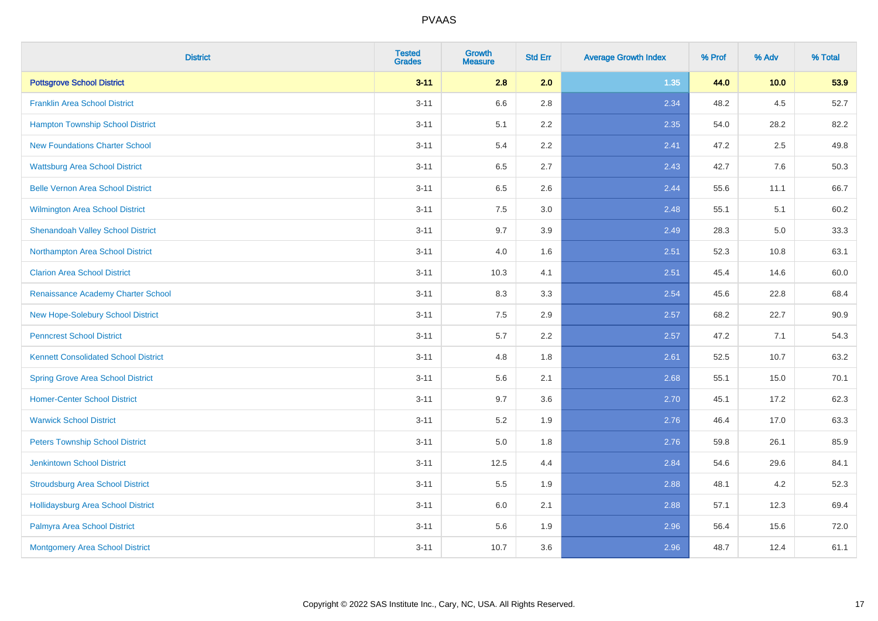| <b>District</b>                             | <b>Tested</b><br><b>Grades</b> | <b>Growth</b><br><b>Measure</b> | <b>Std Err</b> | <b>Average Growth Index</b> | % Prof | % Adv | % Total |
|---------------------------------------------|--------------------------------|---------------------------------|----------------|-----------------------------|--------|-------|---------|
| <b>Pottsgrove School District</b>           | $3 - 11$                       | 2.8                             | 2.0            | 1.35                        | 44.0   | 10.0  | 53.9    |
| <b>Franklin Area School District</b>        | $3 - 11$                       | 6.6                             | 2.8            | 2.34                        | 48.2   | 4.5   | 52.7    |
| <b>Hampton Township School District</b>     | $3 - 11$                       | 5.1                             | 2.2            | 2.35                        | 54.0   | 28.2  | 82.2    |
| <b>New Foundations Charter School</b>       | $3 - 11$                       | 5.4                             | 2.2            | 2.41                        | 47.2   | 2.5   | 49.8    |
| <b>Wattsburg Area School District</b>       | $3 - 11$                       | 6.5                             | 2.7            | 2.43                        | 42.7   | 7.6   | 50.3    |
| <b>Belle Vernon Area School District</b>    | $3 - 11$                       | 6.5                             | 2.6            | 2.44                        | 55.6   | 11.1  | 66.7    |
| Wilmington Area School District             | $3 - 11$                       | 7.5                             | 3.0            | 2.48                        | 55.1   | 5.1   | 60.2    |
| <b>Shenandoah Valley School District</b>    | $3 - 11$                       | 9.7                             | 3.9            | 2.49                        | 28.3   | 5.0   | 33.3    |
| Northampton Area School District            | $3 - 11$                       | 4.0                             | 1.6            | 2.51                        | 52.3   | 10.8  | 63.1    |
| <b>Clarion Area School District</b>         | $3 - 11$                       | 10.3                            | 4.1            | 2.51                        | 45.4   | 14.6  | 60.0    |
| Renaissance Academy Charter School          | $3 - 11$                       | 8.3                             | 3.3            | 2.54                        | 45.6   | 22.8  | 68.4    |
| New Hope-Solebury School District           | $3 - 11$                       | 7.5                             | 2.9            | 2.57                        | 68.2   | 22.7  | 90.9    |
| <b>Penncrest School District</b>            | $3 - 11$                       | 5.7                             | 2.2            | 2.57                        | 47.2   | 7.1   | 54.3    |
| <b>Kennett Consolidated School District</b> | $3 - 11$                       | 4.8                             | 1.8            | 2.61                        | 52.5   | 10.7  | 63.2    |
| <b>Spring Grove Area School District</b>    | $3 - 11$                       | 5.6                             | 2.1            | 2.68                        | 55.1   | 15.0  | 70.1    |
| <b>Homer-Center School District</b>         | $3 - 11$                       | 9.7                             | 3.6            | 2.70                        | 45.1   | 17.2  | 62.3    |
| <b>Warwick School District</b>              | $3 - 11$                       | 5.2                             | 1.9            | 2.76                        | 46.4   | 17.0  | 63.3    |
| <b>Peters Township School District</b>      | $3 - 11$                       | 5.0                             | 1.8            | 2.76                        | 59.8   | 26.1  | 85.9    |
| <b>Jenkintown School District</b>           | $3 - 11$                       | 12.5                            | 4.4            | 2.84                        | 54.6   | 29.6  | 84.1    |
| <b>Stroudsburg Area School District</b>     | $3 - 11$                       | 5.5                             | 1.9            | 2.88                        | 48.1   | 4.2   | 52.3    |
| <b>Hollidaysburg Area School District</b>   | $3 - 11$                       | 6.0                             | 2.1            | 2.88                        | 57.1   | 12.3  | 69.4    |
| Palmyra Area School District                | $3 - 11$                       | 5.6                             | 1.9            | 2.96                        | 56.4   | 15.6  | 72.0    |
| Montgomery Area School District             | $3 - 11$                       | 10.7                            | 3.6            | 2.96                        | 48.7   | 12.4  | 61.1    |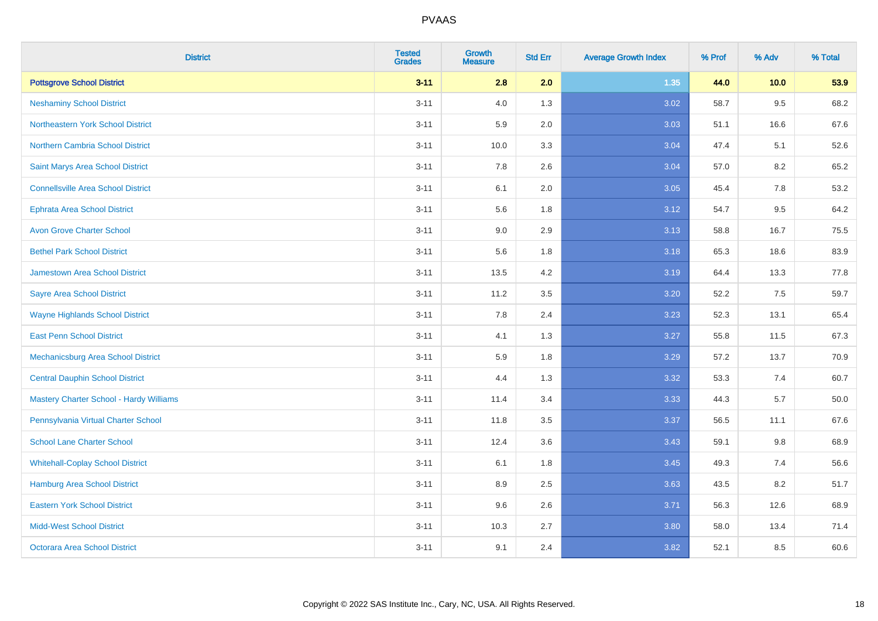| <b>District</b>                                | <b>Tested</b><br><b>Grades</b> | Growth<br><b>Measure</b> | <b>Std Err</b> | <b>Average Growth Index</b> | % Prof | % Adv | % Total |
|------------------------------------------------|--------------------------------|--------------------------|----------------|-----------------------------|--------|-------|---------|
| <b>Pottsgrove School District</b>              | $3 - 11$                       | 2.8                      | 2.0            | 1.35                        | 44.0   | 10.0  | 53.9    |
| <b>Neshaminy School District</b>               | $3 - 11$                       | 4.0                      | 1.3            | 3.02                        | 58.7   | 9.5   | 68.2    |
| Northeastern York School District              | $3 - 11$                       | 5.9                      | 2.0            | 3.03                        | 51.1   | 16.6  | 67.6    |
| Northern Cambria School District               | $3 - 11$                       | 10.0                     | 3.3            | 3.04                        | 47.4   | 5.1   | 52.6    |
| Saint Marys Area School District               | $3 - 11$                       | 7.8                      | 2.6            | 3.04                        | 57.0   | 8.2   | 65.2    |
| <b>Connellsville Area School District</b>      | $3 - 11$                       | 6.1                      | 2.0            | 3.05                        | 45.4   | 7.8   | 53.2    |
| <b>Ephrata Area School District</b>            | $3 - 11$                       | 5.6                      | 1.8            | 3.12                        | 54.7   | 9.5   | 64.2    |
| <b>Avon Grove Charter School</b>               | $3 - 11$                       | 9.0                      | 2.9            | 3.13                        | 58.8   | 16.7  | 75.5    |
| <b>Bethel Park School District</b>             | $3 - 11$                       | 5.6                      | 1.8            | 3.18                        | 65.3   | 18.6  | 83.9    |
| <b>Jamestown Area School District</b>          | $3 - 11$                       | 13.5                     | 4.2            | 3.19                        | 64.4   | 13.3  | 77.8    |
| <b>Sayre Area School District</b>              | $3 - 11$                       | 11.2                     | 3.5            | 3.20                        | 52.2   | 7.5   | 59.7    |
| <b>Wayne Highlands School District</b>         | $3 - 11$                       | 7.8                      | 2.4            | 3.23                        | 52.3   | 13.1  | 65.4    |
| <b>East Penn School District</b>               | $3 - 11$                       | 4.1                      | 1.3            | 3.27                        | 55.8   | 11.5  | 67.3    |
| Mechanicsburg Area School District             | $3 - 11$                       | 5.9                      | 1.8            | 3.29                        | 57.2   | 13.7  | 70.9    |
| <b>Central Dauphin School District</b>         | $3 - 11$                       | 4.4                      | 1.3            | 3.32                        | 53.3   | 7.4   | 60.7    |
| <b>Mastery Charter School - Hardy Williams</b> | $3 - 11$                       | 11.4                     | 3.4            | 3.33                        | 44.3   | 5.7   | 50.0    |
| Pennsylvania Virtual Charter School            | $3 - 11$                       | 11.8                     | 3.5            | 3.37                        | 56.5   | 11.1  | 67.6    |
| <b>School Lane Charter School</b>              | $3 - 11$                       | 12.4                     | 3.6            | 3.43                        | 59.1   | 9.8   | 68.9    |
| <b>Whitehall-Coplay School District</b>        | $3 - 11$                       | 6.1                      | 1.8            | 3.45                        | 49.3   | 7.4   | 56.6    |
| Hamburg Area School District                   | $3 - 11$                       | 8.9                      | 2.5            | 3.63                        | 43.5   | 8.2   | 51.7    |
| <b>Eastern York School District</b>            | $3 - 11$                       | 9.6                      | 2.6            | 3.71                        | 56.3   | 12.6  | 68.9    |
| <b>Midd-West School District</b>               | $3 - 11$                       | 10.3                     | 2.7            | 3.80                        | 58.0   | 13.4  | 71.4    |
| <b>Octorara Area School District</b>           | $3 - 11$                       | 9.1                      | 2.4            | 3.82                        | 52.1   | 8.5   | 60.6    |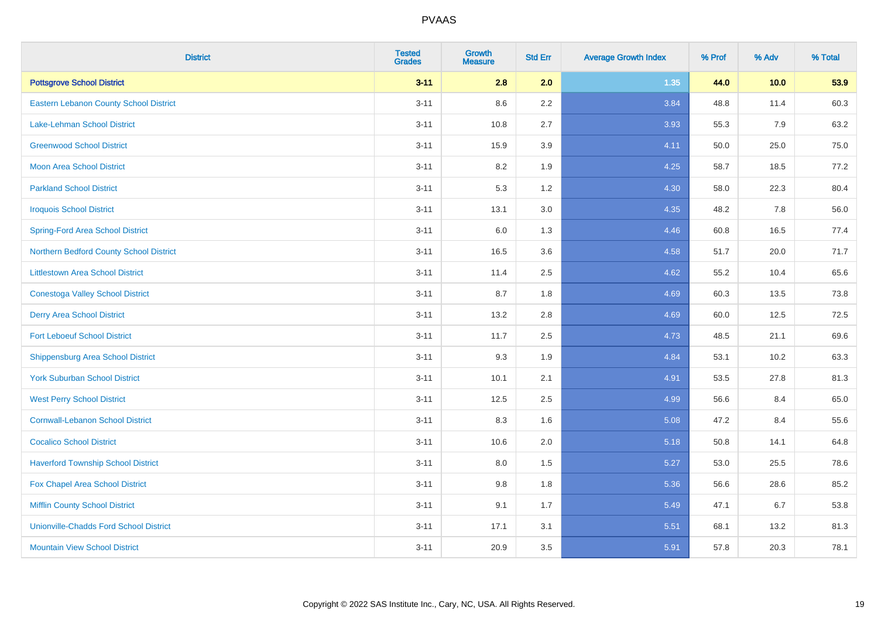| <b>District</b>                               | <b>Tested</b><br><b>Grades</b> | <b>Growth</b><br><b>Measure</b> | <b>Std Err</b> | <b>Average Growth Index</b> | % Prof | % Adv | % Total |
|-----------------------------------------------|--------------------------------|---------------------------------|----------------|-----------------------------|--------|-------|---------|
| <b>Pottsgrove School District</b>             | $3 - 11$                       | 2.8                             | 2.0            | 1.35                        | 44.0   | 10.0  | 53.9    |
| <b>Eastern Lebanon County School District</b> | $3 - 11$                       | 8.6                             | $2.2\,$        | 3.84                        | 48.8   | 11.4  | 60.3    |
| <b>Lake-Lehman School District</b>            | $3 - 11$                       | 10.8                            | 2.7            | 3.93                        | 55.3   | 7.9   | 63.2    |
| <b>Greenwood School District</b>              | $3 - 11$                       | 15.9                            | 3.9            | 4.11                        | 50.0   | 25.0  | 75.0    |
| <b>Moon Area School District</b>              | $3 - 11$                       | 8.2                             | 1.9            | 4.25                        | 58.7   | 18.5  | 77.2    |
| <b>Parkland School District</b>               | $3 - 11$                       | 5.3                             | 1.2            | 4.30                        | 58.0   | 22.3  | 80.4    |
| <b>Iroquois School District</b>               | $3 - 11$                       | 13.1                            | 3.0            | 4.35                        | 48.2   | 7.8   | 56.0    |
| <b>Spring-Ford Area School District</b>       | $3 - 11$                       | 6.0                             | 1.3            | 4.46                        | 60.8   | 16.5  | 77.4    |
| Northern Bedford County School District       | $3 - 11$                       | 16.5                            | 3.6            | 4.58                        | 51.7   | 20.0  | 71.7    |
| <b>Littlestown Area School District</b>       | $3 - 11$                       | 11.4                            | 2.5            | 4.62                        | 55.2   | 10.4  | 65.6    |
| <b>Conestoga Valley School District</b>       | $3 - 11$                       | 8.7                             | 1.8            | 4.69                        | 60.3   | 13.5  | 73.8    |
| <b>Derry Area School District</b>             | $3 - 11$                       | 13.2                            | 2.8            | 4.69                        | 60.0   | 12.5  | 72.5    |
| <b>Fort Leboeuf School District</b>           | $3 - 11$                       | 11.7                            | 2.5            | 4.73                        | 48.5   | 21.1  | 69.6    |
| <b>Shippensburg Area School District</b>      | $3 - 11$                       | 9.3                             | 1.9            | 4.84                        | 53.1   | 10.2  | 63.3    |
| <b>York Suburban School District</b>          | $3 - 11$                       | 10.1                            | 2.1            | 4.91                        | 53.5   | 27.8  | 81.3    |
| <b>West Perry School District</b>             | $3 - 11$                       | 12.5                            | 2.5            | 4.99                        | 56.6   | 8.4   | 65.0    |
| <b>Cornwall-Lebanon School District</b>       | $3 - 11$                       | 8.3                             | 1.6            | 5.08                        | 47.2   | 8.4   | 55.6    |
| <b>Cocalico School District</b>               | $3 - 11$                       | 10.6                            | 2.0            | 5.18                        | 50.8   | 14.1  | 64.8    |
| <b>Haverford Township School District</b>     | $3 - 11$                       | 8.0                             | 1.5            | 5.27                        | 53.0   | 25.5  | 78.6    |
| Fox Chapel Area School District               | $3 - 11$                       | 9.8                             | 1.8            | 5.36                        | 56.6   | 28.6  | 85.2    |
| <b>Mifflin County School District</b>         | $3 - 11$                       | 9.1                             | 1.7            | 5.49                        | 47.1   | 6.7   | 53.8    |
| <b>Unionville-Chadds Ford School District</b> | $3 - 11$                       | 17.1                            | 3.1            | 5.51                        | 68.1   | 13.2  | 81.3    |
| <b>Mountain View School District</b>          | $3 - 11$                       | 20.9                            | 3.5            | 5.91                        | 57.8   | 20.3  | 78.1    |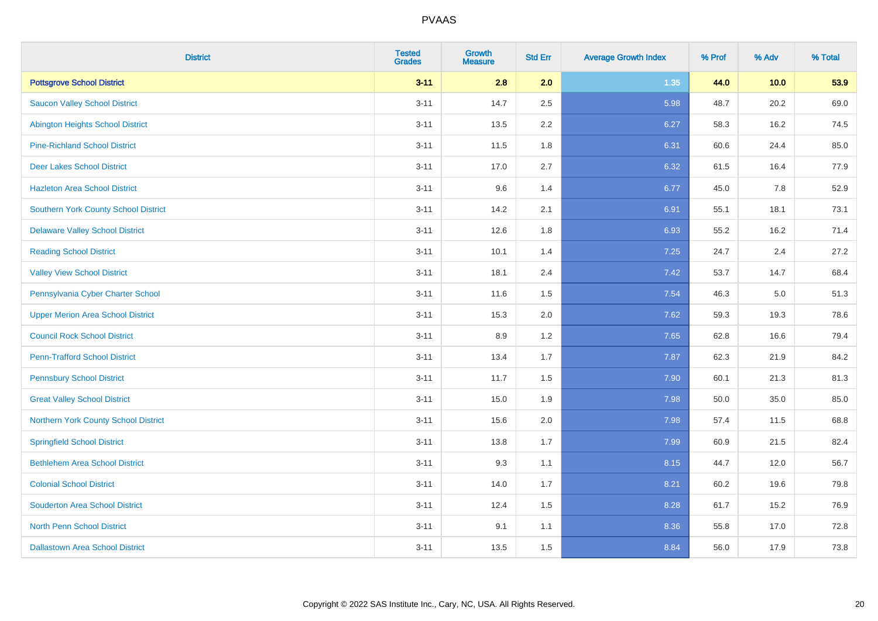| <b>District</b>                          | <b>Tested</b><br><b>Grades</b> | <b>Growth</b><br><b>Measure</b> | <b>Std Err</b> | <b>Average Growth Index</b> | % Prof | % Adv | % Total |
|------------------------------------------|--------------------------------|---------------------------------|----------------|-----------------------------|--------|-------|---------|
| <b>Pottsgrove School District</b>        | $3 - 11$                       | 2.8                             | 2.0            | 1.35                        | 44.0   | 10.0  | 53.9    |
| <b>Saucon Valley School District</b>     | $3 - 11$                       | 14.7                            | 2.5            | 5.98                        | 48.7   | 20.2  | 69.0    |
| <b>Abington Heights School District</b>  | $3 - 11$                       | 13.5                            | 2.2            | 6.27                        | 58.3   | 16.2  | 74.5    |
| <b>Pine-Richland School District</b>     | $3 - 11$                       | 11.5                            | 1.8            | 6.31                        | 60.6   | 24.4  | 85.0    |
| <b>Deer Lakes School District</b>        | $3 - 11$                       | 17.0                            | 2.7            | 6.32                        | 61.5   | 16.4  | 77.9    |
| <b>Hazleton Area School District</b>     | $3 - 11$                       | 9.6                             | 1.4            | 6.77                        | 45.0   | 7.8   | 52.9    |
| Southern York County School District     | $3 - 11$                       | 14.2                            | 2.1            | 6.91                        | 55.1   | 18.1  | 73.1    |
| <b>Delaware Valley School District</b>   | $3 - 11$                       | 12.6                            | 1.8            | 6.93                        | 55.2   | 16.2  | 71.4    |
| <b>Reading School District</b>           | $3 - 11$                       | 10.1                            | 1.4            | 7.25                        | 24.7   | 2.4   | 27.2    |
| <b>Valley View School District</b>       | $3 - 11$                       | 18.1                            | 2.4            | 7.42                        | 53.7   | 14.7  | 68.4    |
| Pennsylvania Cyber Charter School        | $3 - 11$                       | 11.6                            | 1.5            | 7.54                        | 46.3   | 5.0   | 51.3    |
| <b>Upper Merion Area School District</b> | $3 - 11$                       | 15.3                            | 2.0            | 7.62                        | 59.3   | 19.3  | 78.6    |
| <b>Council Rock School District</b>      | $3 - 11$                       | 8.9                             | 1.2            | 7.65                        | 62.8   | 16.6  | 79.4    |
| <b>Penn-Trafford School District</b>     | $3 - 11$                       | 13.4                            | 1.7            | 7.87                        | 62.3   | 21.9  | 84.2    |
| <b>Pennsbury School District</b>         | $3 - 11$                       | 11.7                            | 1.5            | 7.90                        | 60.1   | 21.3  | 81.3    |
| <b>Great Valley School District</b>      | $3 - 11$                       | 15.0                            | 1.9            | 7.98                        | 50.0   | 35.0  | 85.0    |
| Northern York County School District     | $3 - 11$                       | 15.6                            | 2.0            | 7.98                        | 57.4   | 11.5  | 68.8    |
| <b>Springfield School District</b>       | $3 - 11$                       | 13.8                            | 1.7            | 7.99                        | 60.9   | 21.5  | 82.4    |
| <b>Bethlehem Area School District</b>    | $3 - 11$                       | 9.3                             | 1.1            | 8.15                        | 44.7   | 12.0  | 56.7    |
| <b>Colonial School District</b>          | $3 - 11$                       | 14.0                            | 1.7            | 8.21                        | 60.2   | 19.6  | 79.8    |
| <b>Souderton Area School District</b>    | $3 - 11$                       | 12.4                            | 1.5            | 8.28                        | 61.7   | 15.2  | 76.9    |
| <b>North Penn School District</b>        | $3 - 11$                       | 9.1                             | 1.1            | 8.36                        | 55.8   | 17.0  | 72.8    |
| <b>Dallastown Area School District</b>   | $3 - 11$                       | 13.5                            | 1.5            | 8.84                        | 56.0   | 17.9  | 73.8    |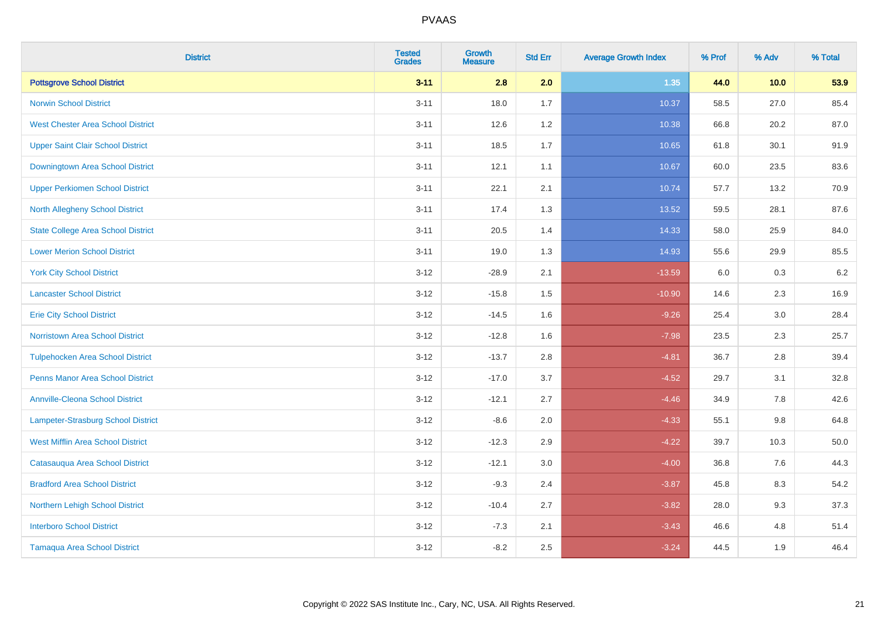| <b>District</b>                           | <b>Tested</b><br><b>Grades</b> | Growth<br><b>Measure</b> | <b>Std Err</b> | <b>Average Growth Index</b> | % Prof | % Adv   | % Total |
|-------------------------------------------|--------------------------------|--------------------------|----------------|-----------------------------|--------|---------|---------|
| <b>Pottsgrove School District</b>         | $3 - 11$                       | 2.8                      | 2.0            | 1.35                        | 44.0   | 10.0    | 53.9    |
| <b>Norwin School District</b>             | $3 - 11$                       | 18.0                     | 1.7            | 10.37                       | 58.5   | 27.0    | 85.4    |
| <b>West Chester Area School District</b>  | $3 - 11$                       | 12.6                     | 1.2            | 10.38                       | 66.8   | 20.2    | 87.0    |
| <b>Upper Saint Clair School District</b>  | $3 - 11$                       | 18.5                     | 1.7            | 10.65                       | 61.8   | 30.1    | 91.9    |
| Downingtown Area School District          | $3 - 11$                       | 12.1                     | 1.1            | 10.67                       | 60.0   | 23.5    | 83.6    |
| <b>Upper Perkiomen School District</b>    | $3 - 11$                       | 22.1                     | 2.1            | 10.74                       | 57.7   | 13.2    | 70.9    |
| <b>North Allegheny School District</b>    | $3 - 11$                       | 17.4                     | 1.3            | 13.52                       | 59.5   | 28.1    | 87.6    |
| <b>State College Area School District</b> | $3 - 11$                       | 20.5                     | 1.4            | 14.33                       | 58.0   | 25.9    | 84.0    |
| <b>Lower Merion School District</b>       | $3 - 11$                       | 19.0                     | 1.3            | 14.93                       | 55.6   | 29.9    | 85.5    |
| <b>York City School District</b>          | $3 - 12$                       | $-28.9$                  | 2.1            | $-13.59$                    | 6.0    | 0.3     | 6.2     |
| <b>Lancaster School District</b>          | $3 - 12$                       | $-15.8$                  | 1.5            | $-10.90$                    | 14.6   | 2.3     | 16.9    |
| <b>Erie City School District</b>          | $3 - 12$                       | $-14.5$                  | 1.6            | $-9.26$                     | 25.4   | 3.0     | 28.4    |
| <b>Norristown Area School District</b>    | $3 - 12$                       | $-12.8$                  | 1.6            | $-7.98$                     | 23.5   | $2.3\,$ | 25.7    |
| <b>Tulpehocken Area School District</b>   | $3 - 12$                       | $-13.7$                  | 2.8            | $-4.81$                     | 36.7   | 2.8     | 39.4    |
| <b>Penns Manor Area School District</b>   | $3 - 12$                       | $-17.0$                  | 3.7            | $-4.52$                     | 29.7   | 3.1     | 32.8    |
| <b>Annville-Cleona School District</b>    | $3 - 12$                       | $-12.1$                  | 2.7            | $-4.46$                     | 34.9   | $7.8\,$ | 42.6    |
| Lampeter-Strasburg School District        | $3 - 12$                       | $-8.6$                   | 2.0            | $-4.33$                     | 55.1   | 9.8     | 64.8    |
| <b>West Mifflin Area School District</b>  | $3-12$                         | $-12.3$                  | 2.9            | $-4.22$                     | 39.7   | 10.3    | 50.0    |
| Catasauqua Area School District           | $3 - 12$                       | $-12.1$                  | 3.0            | $-4.00$                     | 36.8   | 7.6     | 44.3    |
| <b>Bradford Area School District</b>      | $3 - 12$                       | $-9.3$                   | 2.4            | $-3.87$                     | 45.8   | 8.3     | 54.2    |
| Northern Lehigh School District           | $3 - 12$                       | $-10.4$                  | 2.7            | $-3.82$                     | 28.0   | 9.3     | 37.3    |
| <b>Interboro School District</b>          | $3-12$                         | $-7.3$                   | 2.1            | $-3.43$                     | 46.6   | 4.8     | 51.4    |
| <b>Tamaqua Area School District</b>       | $3 - 12$                       | $-8.2$                   | 2.5            | $-3.24$                     | 44.5   | 1.9     | 46.4    |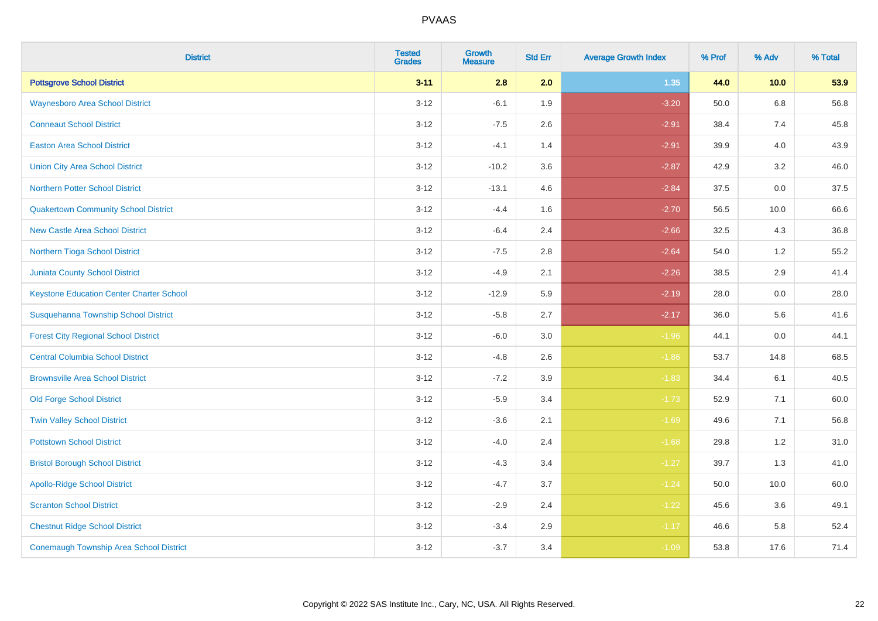| <b>District</b>                                 | <b>Tested</b><br><b>Grades</b> | <b>Growth</b><br><b>Measure</b> | <b>Std Err</b> | <b>Average Growth Index</b> | % Prof | % Adv   | % Total |
|-------------------------------------------------|--------------------------------|---------------------------------|----------------|-----------------------------|--------|---------|---------|
| <b>Pottsgrove School District</b>               | $3 - 11$                       | 2.8                             | 2.0            | 1.35                        | 44.0   | 10.0    | 53.9    |
| <b>Waynesboro Area School District</b>          | $3 - 12$                       | $-6.1$                          | 1.9            | $-3.20$                     | 50.0   | 6.8     | 56.8    |
| <b>Conneaut School District</b>                 | $3 - 12$                       | $-7.5$                          | 2.6            | $-2.91$                     | 38.4   | 7.4     | 45.8    |
| <b>Easton Area School District</b>              | $3 - 12$                       | $-4.1$                          | 1.4            | $-2.91$                     | 39.9   | 4.0     | 43.9    |
| <b>Union City Area School District</b>          | $3 - 12$                       | $-10.2$                         | 3.6            | $-2.87$                     | 42.9   | 3.2     | 46.0    |
| <b>Northern Potter School District</b>          | $3 - 12$                       | $-13.1$                         | 4.6            | $-2.84$                     | 37.5   | $0.0\,$ | 37.5    |
| <b>Quakertown Community School District</b>     | $3 - 12$                       | $-4.4$                          | 1.6            | $-2.70$                     | 56.5   | 10.0    | 66.6    |
| <b>New Castle Area School District</b>          | $3 - 12$                       | $-6.4$                          | 2.4            | $-2.66$                     | 32.5   | 4.3     | 36.8    |
| Northern Tioga School District                  | $3 - 12$                       | $-7.5$                          | 2.8            | $-2.64$                     | 54.0   | $1.2$   | 55.2    |
| Juniata County School District                  | $3 - 12$                       | $-4.9$                          | 2.1            | $-2.26$                     | 38.5   | 2.9     | 41.4    |
| <b>Keystone Education Center Charter School</b> | $3-12$                         | $-12.9$                         | 5.9            | $-2.19$                     | 28.0   | 0.0     | 28.0    |
| Susquehanna Township School District            | $3-12$                         | $-5.8$                          | 2.7            | $-2.17$                     | 36.0   | 5.6     | 41.6    |
| <b>Forest City Regional School District</b>     | $3 - 12$                       | $-6.0$                          | 3.0            | $-1.96$                     | 44.1   | 0.0     | 44.1    |
| <b>Central Columbia School District</b>         | $3 - 12$                       | $-4.8$                          | 2.6            | $-1.86$                     | 53.7   | 14.8    | 68.5    |
| <b>Brownsville Area School District</b>         | $3 - 12$                       | $-7.2$                          | 3.9            | $-1.83$                     | 34.4   | 6.1     | 40.5    |
| <b>Old Forge School District</b>                | $3 - 12$                       | $-5.9$                          | 3.4            | $-1.73$                     | 52.9   | 7.1     | 60.0    |
| <b>Twin Valley School District</b>              | $3 - 12$                       | $-3.6$                          | 2.1            | $-1.69$                     | 49.6   | 7.1     | 56.8    |
| <b>Pottstown School District</b>                | $3 - 12$                       | $-4.0$                          | 2.4            | $-1.68$                     | 29.8   | 1.2     | 31.0    |
| <b>Bristol Borough School District</b>          | $3 - 12$                       | $-4.3$                          | 3.4            | $-1.27$                     | 39.7   | 1.3     | 41.0    |
| <b>Apollo-Ridge School District</b>             | $3-12$                         | $-4.7$                          | 3.7            | $-1.24$                     | 50.0   | 10.0    | 60.0    |
| <b>Scranton School District</b>                 | $3 - 12$                       | $-2.9$                          | 2.4            | $-1.22$                     | 45.6   | 3.6     | 49.1    |
| <b>Chestnut Ridge School District</b>           | $3 - 12$                       | $-3.4$                          | 2.9            | $-1.17$                     | 46.6   | 5.8     | 52.4    |
| <b>Conemaugh Township Area School District</b>  | $3-12$                         | $-3.7$                          | 3.4            | $-1.09$                     | 53.8   | 17.6    | 71.4    |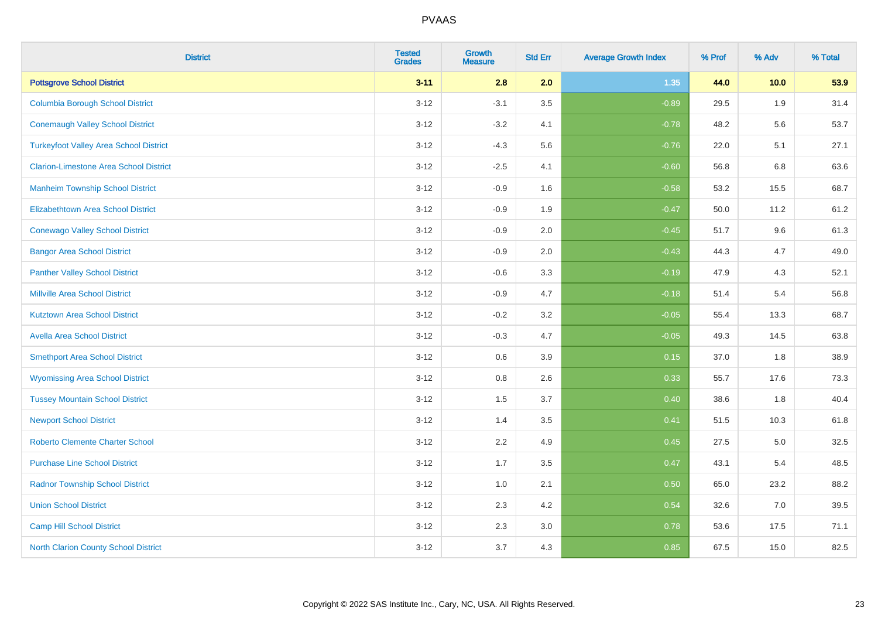| <b>District</b>                               | <b>Tested</b><br><b>Grades</b> | <b>Growth</b><br><b>Measure</b> | <b>Std Err</b> | <b>Average Growth Index</b> | % Prof | % Adv | % Total |
|-----------------------------------------------|--------------------------------|---------------------------------|----------------|-----------------------------|--------|-------|---------|
| <b>Pottsgrove School District</b>             | $3 - 11$                       | 2.8                             | 2.0            | 1.35                        | 44.0   | 10.0  | 53.9    |
| <b>Columbia Borough School District</b>       | $3-12$                         | $-3.1$                          | 3.5            | $-0.89$                     | 29.5   | 1.9   | 31.4    |
| <b>Conemaugh Valley School District</b>       | $3 - 12$                       | $-3.2$                          | 4.1            | $-0.78$                     | 48.2   | 5.6   | 53.7    |
| <b>Turkeyfoot Valley Area School District</b> | $3 - 12$                       | $-4.3$                          | 5.6            | $-0.76$                     | 22.0   | 5.1   | 27.1    |
| <b>Clarion-Limestone Area School District</b> | $3 - 12$                       | $-2.5$                          | 4.1            | $-0.60$                     | 56.8   | 6.8   | 63.6    |
| <b>Manheim Township School District</b>       | $3 - 12$                       | $-0.9$                          | 1.6            | $-0.58$                     | 53.2   | 15.5  | 68.7    |
| <b>Elizabethtown Area School District</b>     | $3 - 12$                       | $-0.9$                          | 1.9            | $-0.47$                     | 50.0   | 11.2  | 61.2    |
| <b>Conewago Valley School District</b>        | $3 - 12$                       | $-0.9$                          | 2.0            | $-0.45$                     | 51.7   | 9.6   | 61.3    |
| <b>Bangor Area School District</b>            | $3 - 12$                       | $-0.9$                          | 2.0            | $-0.43$                     | 44.3   | 4.7   | 49.0    |
| <b>Panther Valley School District</b>         | $3 - 12$                       | $-0.6$                          | 3.3            | $-0.19$                     | 47.9   | 4.3   | 52.1    |
| <b>Millville Area School District</b>         | $3 - 12$                       | $-0.9$                          | 4.7            | $-0.18$                     | 51.4   | 5.4   | 56.8    |
| <b>Kutztown Area School District</b>          | $3 - 12$                       | $-0.2$                          | 3.2            | $-0.05$                     | 55.4   | 13.3  | 68.7    |
| <b>Avella Area School District</b>            | $3 - 12$                       | $-0.3$                          | 4.7            | $-0.05$                     | 49.3   | 14.5  | 63.8    |
| <b>Smethport Area School District</b>         | $3 - 12$                       | 0.6                             | 3.9            | 0.15                        | 37.0   | 1.8   | 38.9    |
| <b>Wyomissing Area School District</b>        | $3 - 12$                       | $0.8\,$                         | 2.6            | 0.33                        | 55.7   | 17.6  | 73.3    |
| <b>Tussey Mountain School District</b>        | $3 - 12$                       | 1.5                             | 3.7            | 0.40                        | 38.6   | 1.8   | 40.4    |
| <b>Newport School District</b>                | $3 - 12$                       | 1.4                             | 3.5            | 0.41                        | 51.5   | 10.3  | 61.8    |
| <b>Roberto Clemente Charter School</b>        | $3 - 12$                       | 2.2                             | 4.9            | 0.45                        | 27.5   | 5.0   | 32.5    |
| <b>Purchase Line School District</b>          | $3 - 12$                       | 1.7                             | 3.5            | 0.47                        | 43.1   | 5.4   | 48.5    |
| <b>Radnor Township School District</b>        | $3 - 12$                       | 1.0                             | 2.1            | 0.50                        | 65.0   | 23.2  | 88.2    |
| <b>Union School District</b>                  | $3 - 12$                       | 2.3                             | 4.2            | 0.54                        | 32.6   | 7.0   | 39.5    |
| <b>Camp Hill School District</b>              | $3 - 12$                       | 2.3                             | 3.0            | 0.78                        | 53.6   | 17.5  | 71.1    |
| <b>North Clarion County School District</b>   | $3 - 12$                       | 3.7                             | 4.3            | 0.85                        | 67.5   | 15.0  | 82.5    |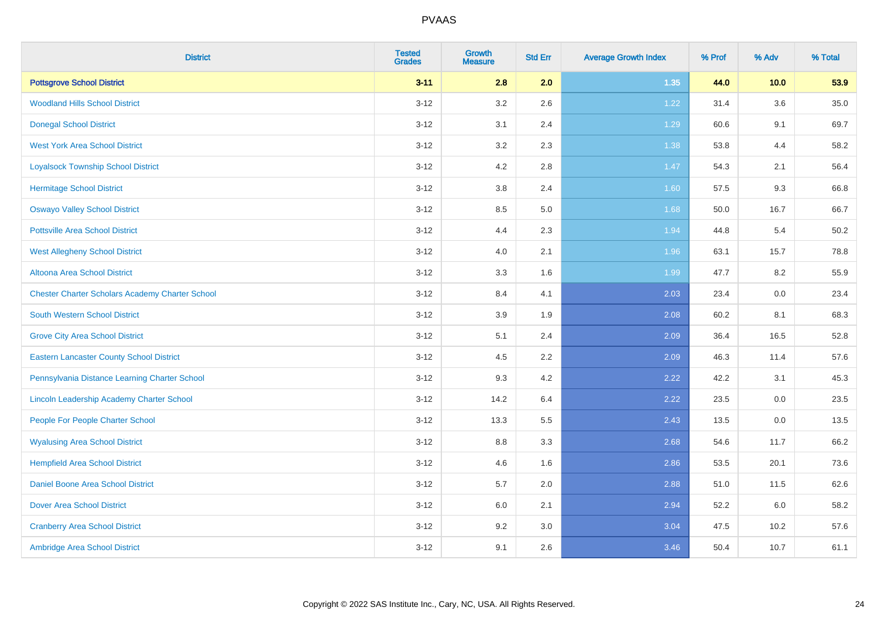| <b>District</b>                                        | <b>Tested</b><br><b>Grades</b> | <b>Growth</b><br><b>Measure</b> | <b>Std Err</b> | <b>Average Growth Index</b> | % Prof | % Adv | % Total |
|--------------------------------------------------------|--------------------------------|---------------------------------|----------------|-----------------------------|--------|-------|---------|
| <b>Pottsgrove School District</b>                      | $3 - 11$                       | 2.8                             | 2.0            | 1.35                        | 44.0   | 10.0  | 53.9    |
| <b>Woodland Hills School District</b>                  | $3 - 12$                       | 3.2                             | 2.6            | 1.22                        | 31.4   | 3.6   | 35.0    |
| <b>Donegal School District</b>                         | $3 - 12$                       | 3.1                             | 2.4            | 1.29                        | 60.6   | 9.1   | 69.7    |
| <b>West York Area School District</b>                  | $3 - 12$                       | 3.2                             | 2.3            | 1.38                        | 53.8   | 4.4   | 58.2    |
| <b>Loyalsock Township School District</b>              | $3 - 12$                       | 4.2                             | 2.8            | 1.47                        | 54.3   | 2.1   | 56.4    |
| <b>Hermitage School District</b>                       | $3 - 12$                       | $3.8\,$                         | 2.4            | 1.60                        | 57.5   | 9.3   | 66.8    |
| <b>Oswayo Valley School District</b>                   | $3 - 12$                       | 8.5                             | 5.0            | 1.68                        | 50.0   | 16.7  | 66.7    |
| <b>Pottsville Area School District</b>                 | $3 - 12$                       | 4.4                             | 2.3            | 1.94                        | 44.8   | 5.4   | 50.2    |
| <b>West Allegheny School District</b>                  | $3 - 12$                       | 4.0                             | 2.1            | 1.96                        | 63.1   | 15.7  | 78.8    |
| Altoona Area School District                           | $3 - 12$                       | 3.3                             | 1.6            | 1.99                        | 47.7   | 8.2   | 55.9    |
| <b>Chester Charter Scholars Academy Charter School</b> | $3 - 12$                       | 8.4                             | 4.1            | 2.03                        | 23.4   | 0.0   | 23.4    |
| <b>South Western School District</b>                   | $3 - 12$                       | 3.9                             | 1.9            | 2.08                        | 60.2   | 8.1   | 68.3    |
| <b>Grove City Area School District</b>                 | $3 - 12$                       | 5.1                             | 2.4            | 2.09                        | 36.4   | 16.5  | 52.8    |
| <b>Eastern Lancaster County School District</b>        | $3 - 12$                       | 4.5                             | 2.2            | 2.09                        | 46.3   | 11.4  | 57.6    |
| Pennsylvania Distance Learning Charter School          | $3 - 12$                       | 9.3                             | 4.2            | 2.22                        | 42.2   | 3.1   | 45.3    |
| Lincoln Leadership Academy Charter School              | $3 - 12$                       | 14.2                            | 6.4            | 2.22                        | 23.5   | 0.0   | 23.5    |
| People For People Charter School                       | $3 - 12$                       | 13.3                            | 5.5            | 2.43                        | 13.5   | 0.0   | 13.5    |
| <b>Wyalusing Area School District</b>                  | $3 - 12$                       | $8.8\,$                         | 3.3            | 2.68                        | 54.6   | 11.7  | 66.2    |
| <b>Hempfield Area School District</b>                  | $3 - 12$                       | 4.6                             | 1.6            | 2.86                        | 53.5   | 20.1  | 73.6    |
| Daniel Boone Area School District                      | $3 - 12$                       | 5.7                             | 2.0            | 2.88                        | 51.0   | 11.5  | 62.6    |
| <b>Dover Area School District</b>                      | $3-12$                         | 6.0                             | 2.1            | 2.94                        | 52.2   | 6.0   | 58.2    |
| <b>Cranberry Area School District</b>                  | $3 - 12$                       | 9.2                             | 3.0            | 3.04                        | 47.5   | 10.2  | 57.6    |
| Ambridge Area School District                          | $3 - 12$                       | 9.1                             | 2.6            | 3.46                        | 50.4   | 10.7  | 61.1    |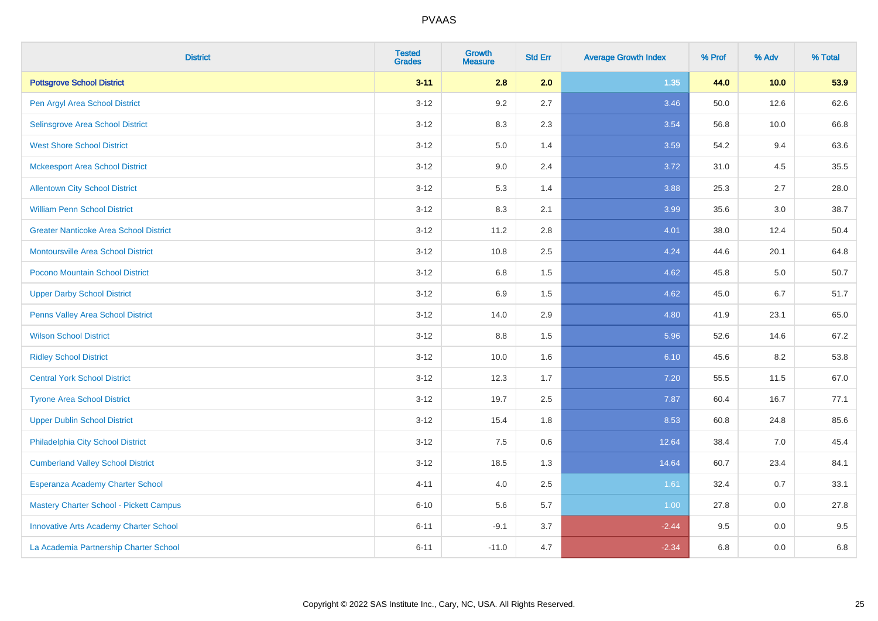| <b>District</b>                               | <b>Tested</b><br><b>Grades</b> | <b>Growth</b><br><b>Measure</b> | <b>Std Err</b> | <b>Average Growth Index</b> | % Prof | % Adv | % Total |
|-----------------------------------------------|--------------------------------|---------------------------------|----------------|-----------------------------|--------|-------|---------|
| <b>Pottsgrove School District</b>             | $3 - 11$                       | 2.8                             | 2.0            | 1.35                        | 44.0   | 10.0  | 53.9    |
| Pen Argyl Area School District                | $3 - 12$                       | 9.2                             | 2.7            | 3.46                        | 50.0   | 12.6  | 62.6    |
| Selinsgrove Area School District              | $3 - 12$                       | 8.3                             | 2.3            | 3.54                        | 56.8   | 10.0  | 66.8    |
| <b>West Shore School District</b>             | $3 - 12$                       | 5.0                             | 1.4            | 3.59                        | 54.2   | 9.4   | 63.6    |
| <b>Mckeesport Area School District</b>        | $3 - 12$                       | 9.0                             | 2.4            | 3.72                        | 31.0   | 4.5   | 35.5    |
| <b>Allentown City School District</b>         | $3 - 12$                       | 5.3                             | 1.4            | 3.88                        | 25.3   | 2.7   | 28.0    |
| <b>William Penn School District</b>           | $3-12$                         | 8.3                             | 2.1            | 3.99                        | 35.6   | 3.0   | 38.7    |
| <b>Greater Nanticoke Area School District</b> | $3 - 12$                       | 11.2                            | 2.8            | 4.01                        | 38.0   | 12.4  | 50.4    |
| Montoursville Area School District            | $3 - 12$                       | 10.8                            | 2.5            | 4.24                        | 44.6   | 20.1  | 64.8    |
| Pocono Mountain School District               | $3 - 12$                       | 6.8                             | 1.5            | 4.62                        | 45.8   | 5.0   | 50.7    |
| <b>Upper Darby School District</b>            | $3 - 12$                       | 6.9                             | 1.5            | 4.62                        | 45.0   | 6.7   | 51.7    |
| Penns Valley Area School District             | $3 - 12$                       | 14.0                            | 2.9            | 4.80                        | 41.9   | 23.1  | 65.0    |
| <b>Wilson School District</b>                 | $3 - 12$                       | $8.8\,$                         | 1.5            | 5.96                        | 52.6   | 14.6  | 67.2    |
| <b>Ridley School District</b>                 | $3 - 12$                       | 10.0                            | 1.6            | 6.10                        | 45.6   | 8.2   | 53.8    |
| <b>Central York School District</b>           | $3 - 12$                       | 12.3                            | 1.7            | 7.20                        | 55.5   | 11.5  | 67.0    |
| <b>Tyrone Area School District</b>            | $3-12$                         | 19.7                            | 2.5            | 7.87                        | 60.4   | 16.7  | 77.1    |
| <b>Upper Dublin School District</b>           | $3 - 12$                       | 15.4                            | 1.8            | 8.53                        | 60.8   | 24.8  | 85.6    |
| Philadelphia City School District             | $3 - 12$                       | 7.5                             | 0.6            | 12.64                       | 38.4   | 7.0   | 45.4    |
| <b>Cumberland Valley School District</b>      | $3 - 12$                       | 18.5                            | 1.3            | 14.64                       | 60.7   | 23.4  | 84.1    |
| Esperanza Academy Charter School              | $4 - 11$                       | 4.0                             | 2.5            | 1.61                        | 32.4   | 0.7   | 33.1    |
| Mastery Charter School - Pickett Campus       | $6 - 10$                       | 5.6                             | 5.7            | 1.00                        | 27.8   | 0.0   | 27.8    |
| <b>Innovative Arts Academy Charter School</b> | $6 - 11$                       | $-9.1$                          | 3.7            | $-2.44$                     | 9.5    | 0.0   | 9.5     |
| La Academia Partnership Charter School        | $6 - 11$                       | $-11.0$                         | 4.7            | $-2.34$                     | 6.8    | 0.0   | 6.8     |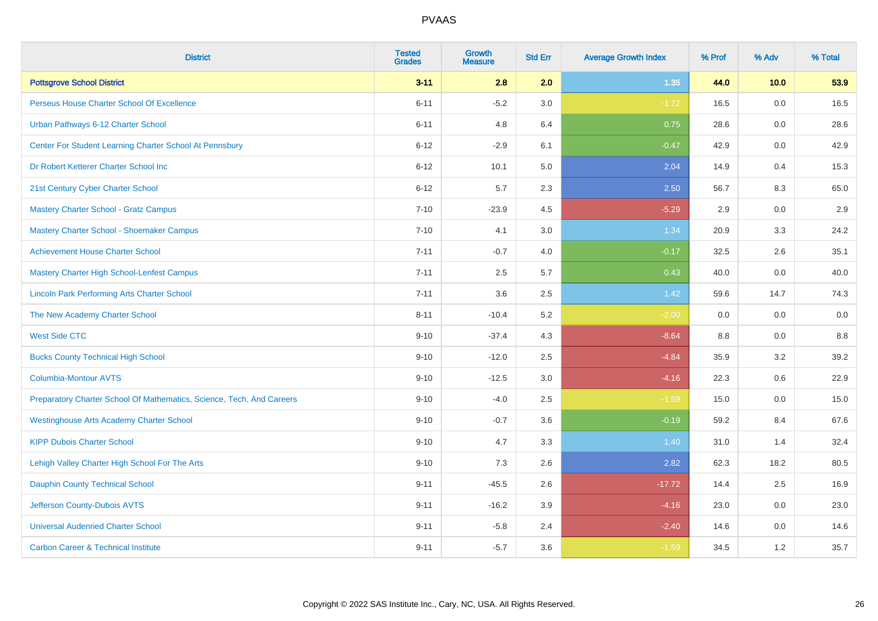| <b>District</b>                                                       | <b>Tested</b><br><b>Grades</b> | Growth<br><b>Measure</b> | <b>Std Err</b> | <b>Average Growth Index</b> | % Prof | % Adv | % Total |
|-----------------------------------------------------------------------|--------------------------------|--------------------------|----------------|-----------------------------|--------|-------|---------|
| <b>Pottsgrove School District</b>                                     | $3 - 11$                       | 2.8                      | 2.0            | 1.35                        | 44.0   | 10.0  | 53.9    |
| Perseus House Charter School Of Excellence                            | $6 - 11$                       | $-5.2$                   | 3.0            | $-1.72$                     | 16.5   | 0.0   | 16.5    |
| Urban Pathways 6-12 Charter School                                    | $6 - 11$                       | 4.8                      | 6.4            | 0.75                        | 28.6   | 0.0   | 28.6    |
| Center For Student Learning Charter School At Pennsbury               | $6 - 12$                       | $-2.9$                   | 6.1            | $-0.47$                     | 42.9   | 0.0   | 42.9    |
| Dr Robert Ketterer Charter School Inc                                 | $6 - 12$                       | 10.1                     | 5.0            | 2.04                        | 14.9   | 0.4   | 15.3    |
| 21st Century Cyber Charter School                                     | $6 - 12$                       | 5.7                      | 2.3            | 2.50                        | 56.7   | 8.3   | 65.0    |
| Mastery Charter School - Gratz Campus                                 | $7 - 10$                       | $-23.9$                  | 4.5            | $-5.29$                     | 2.9    | 0.0   | 2.9     |
| Mastery Charter School - Shoemaker Campus                             | $7 - 10$                       | 4.1                      | 3.0            | 1.34                        | 20.9   | 3.3   | 24.2    |
| <b>Achievement House Charter School</b>                               | $7 - 11$                       | $-0.7$                   | 4.0            | $-0.17$                     | 32.5   | 2.6   | 35.1    |
| <b>Mastery Charter High School-Lenfest Campus</b>                     | $7 - 11$                       | 2.5                      | 5.7            | 0.43                        | 40.0   | 0.0   | 40.0    |
| <b>Lincoln Park Performing Arts Charter School</b>                    | $7 - 11$                       | 3.6                      | 2.5            | 1.42                        | 59.6   | 14.7  | 74.3    |
| The New Academy Charter School                                        | $8 - 11$                       | $-10.4$                  | 5.2            | $-2.00$                     | 0.0    | 0.0   | 0.0     |
| <b>West Side CTC</b>                                                  | $9 - 10$                       | $-37.4$                  | 4.3            | $-8.64$                     | 8.8    | 0.0   | 8.8     |
| <b>Bucks County Technical High School</b>                             | $9 - 10$                       | $-12.0$                  | 2.5            | $-4.84$                     | 35.9   | 3.2   | 39.2    |
| <b>Columbia-Montour AVTS</b>                                          | $9 - 10$                       | $-12.5$                  | 3.0            | $-4.16$                     | 22.3   | 0.6   | 22.9    |
| Preparatory Charter School Of Mathematics, Science, Tech, And Careers | $9 - 10$                       | $-4.0$                   | 2.5            | $-1.59$                     | 15.0   | 0.0   | 15.0    |
| <b>Westinghouse Arts Academy Charter School</b>                       | $9 - 10$                       | $-0.7$                   | 3.6            | $-0.19$                     | 59.2   | 8.4   | 67.6    |
| <b>KIPP Dubois Charter School</b>                                     | $9 - 10$                       | 4.7                      | 3.3            | 1.40                        | 31.0   | 1.4   | 32.4    |
| Lehigh Valley Charter High School For The Arts                        | $9 - 10$                       | 7.3                      | 2.6            | 2.82                        | 62.3   | 18.2  | 80.5    |
| <b>Dauphin County Technical School</b>                                | $9 - 11$                       | $-45.5$                  | 2.6            | $-17.72$                    | 14.4   | 2.5   | 16.9    |
| Jefferson County-Dubois AVTS                                          | $9 - 11$                       | $-16.2$                  | 3.9            | $-4.16$                     | 23.0   | 0.0   | 23.0    |
| <b>Universal Audenried Charter School</b>                             | $9 - 11$                       | $-5.8$                   | 2.4            | $-2.40$                     | 14.6   | 0.0   | 14.6    |
| <b>Carbon Career &amp; Technical Institute</b>                        | $9 - 11$                       | $-5.7$                   | 3.6            | $-1.59$                     | 34.5   | 1.2   | 35.7    |